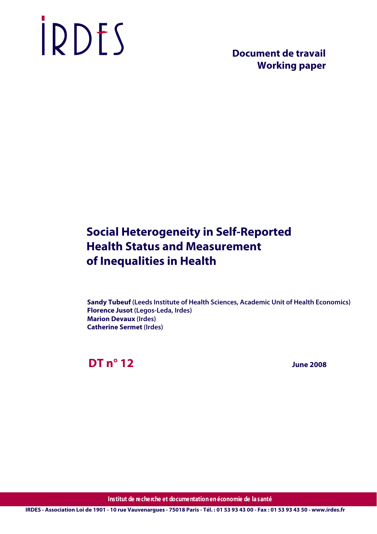# IRDES

 **Document de travail Working paper**

# **Social Heterogeneity in Self-Reported Health Status and Measurement of Inequalities in Health**

**Sandy Tubeuf (Leeds Institute of Health Sciences, Academic Unit of Health Economics) Florence Jusot (Legos-Leda, Irdes) Marion Devaux (Irdes) Catherine Sermet (Irdes)**

**DT n° 12**

 **June 2008**

**Institut de recherche et documentation en économie de la santé**

**IRDES - Association Loi de 1901 - 10 rue Vauvenargues - 75018 Paris - Tél. : 01 53 93 43 00 - Fax : 01 53 93 43 50 - www.irdes.fr**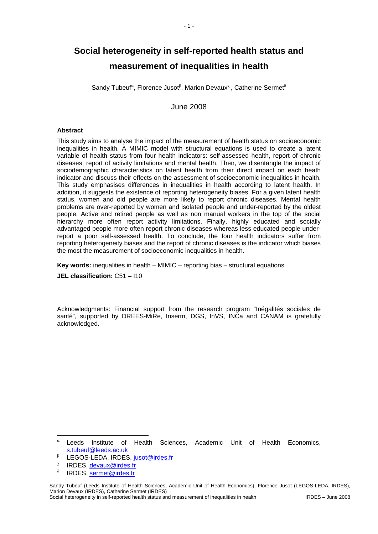# **Social heterogeneity in self-reported health status and measurement of inequalities in health**

Sandy Tubeuf<sup>α</sup>, Florence Jusot<sup>β</sup>, Marion Devaux<sup>χ</sup>, Catherine Sermet<sup>8</sup>

June 2008

#### **Abstract**

This study aims to analyse the impact of the measurement of health status on socioeconomic inequalities in health. A MIMIC model with structural equations is used to create a latent variable of health status from four health indicators: self-assessed health, report of chronic diseases, report of activity limitations and mental health. Then, we disentangle the impact of sociodemographic characteristics on latent health from their direct impact on each heath indicator and discuss their effects on the assessment of socioeconomic inequalities in health. This study emphasises differences in inequalities in health according to latent health. In addition, it suggests the existence of reporting heterogeneity biases. For a given latent health status, women and old people are more likely to report chronic diseases. Mental health problems are over-reported by women and isolated people and under-reported by the oldest people. Active and retired people as well as non manual workers in the top of the social hierarchy more often report activity limitations. Finally, highly educated and socially advantaged people more often report chronic diseases whereas less educated people underreport a poor self-assessed health. To conclude, the four health indicators suffer from reporting heterogeneity biases and the report of chronic diseases is the indicator which biases the most the measurement of socioeconomic inequalities in health.

**Key words:** inequalities in health – MIMIC – reporting bias – structural equations.

**JEL classification:** C51 – I10

Acknowledgments: Financial support from the research program "Inégalités sociales de santé", supported by DREES-MiRe, Inserm, DGS, InVS, INCa and CANAM is gratefully acknowledged.

-

α Leeds Institute of Health Sciences, Academic Unit of Health Economics, s.tubeuf@leeds.ac.uk

β LEGOS-LEDA, IRDES, jusot@irdes.fr

χ IRDES, devaux@irdes.fr

δ IRDES, sermet@irdes.fr

Sandy Tubeuf (Leeds Institute of Health Sciences, Academic Unit of Health Economics), Florence Jusot (LEGOS-LEDA, IRDES), Marion Devaux (IRDES), Catherine Sermet (IRDES)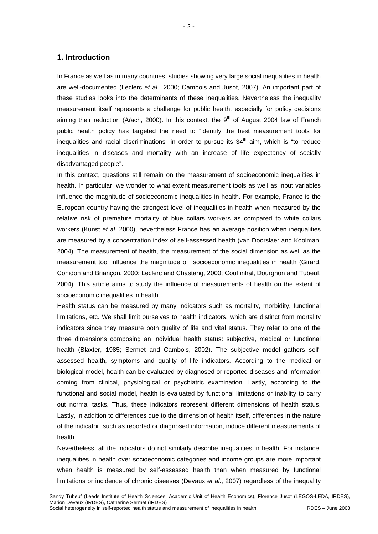#### **1. Introduction**

In France as well as in many countries, studies showing very large social inequalities in health are well-documented (Leclerc *et al.*, 2000; Cambois and Jusot, 2007). An important part of these studies looks into the determinants of these inequalities. Nevertheless the inequality measurement itself represents a challenge for public health, especially for policy decisions aiming their reduction (Aïach, 2000). In this context, the  $9<sup>th</sup>$  of August 2004 law of French public health policy has targeted the need to "identify the best measurement tools for inequalities and racial discriminations" in order to pursue its  $34<sup>th</sup>$  aim, which is "to reduce inequalities in diseases and mortality with an increase of life expectancy of socially disadvantaged people".

In this context, questions still remain on the measurement of socioeconomic inequalities in health. In particular, we wonder to what extent measurement tools as well as input variables influence the magnitude of socioeconomic inequalities in health. For example, France is the European country having the strongest level of inequalities in health when measured by the relative risk of premature mortality of blue collars workers as compared to white collars workers (Kunst *et al.* 2000), nevertheless France has an average position when inequalities are measured by a concentration index of self-assessed health (van Doorslaer and Koolman, 2004). The measurement of health, the measurement of the social dimension as well as the measurement tool influence the magnitude of socioeconomic inequalities in health (Girard, Cohidon and Briançon, 2000; Leclerc and Chastang, 2000; Couffinhal, Dourgnon and Tubeuf, 2004). This article aims to study the influence of measurements of health on the extent of socioeconomic inequalities in health.

Health status can be measured by many indicators such as mortality, morbidity, functional limitations, etc. We shall limit ourselves to health indicators, which are distinct from mortality indicators since they measure both quality of life and vital status. They refer to one of the three dimensions composing an individual health status: subjective, medical or functional health (Blaxter, 1985; Sermet and Cambois, 2002). The subjective model gathers selfassessed health, symptoms and quality of life indicators. According to the medical or biological model, health can be evaluated by diagnosed or reported diseases and information coming from clinical, physiological or psychiatric examination. Lastly, according to the functional and social model, health is evaluated by functional limitations or inability to carry out normal tasks. Thus, these indicators represent different dimensions of health status. Lastly, in addition to differences due to the dimension of health itself, differences in the nature of the indicator, such as reported or diagnosed information, induce different measurements of health.

Nevertheless, all the indicators do not similarly describe inequalities in health. For instance, inequalities in health over socioeconomic categories and income groups are more important when health is measured by self-assessed health than when measured by functional limitations or incidence of chronic diseases (Devaux *et al.*, 2007) regardless of the inequality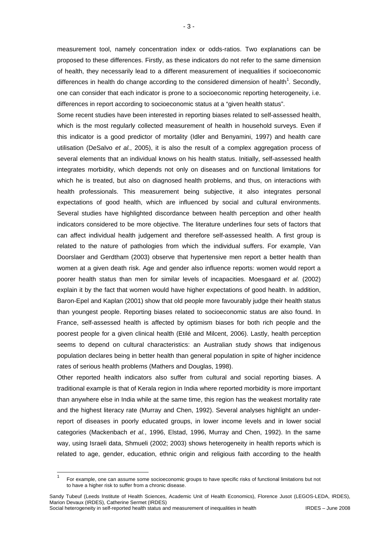measurement tool, namely concentration index or odds-ratios. Two explanations can be proposed to these differences. Firstly, as these indicators do not refer to the same dimension of health, they necessarily lead to a different measurement of inequalities if socioeconomic differences in health do change according to the considered dimension of health<sup>1</sup>. Secondly, one can consider that each indicator is prone to a socioeconomic reporting heterogeneity, i.e. differences in report according to socioeconomic status at a "given health status".

Some recent studies have been interested in reporting biases related to self-assessed health, which is the most regularly collected measurement of health in household surveys. Even if this indicator is a good predictor of mortality (Idler and Benyamini, 1997) and health care utilisation (DeSalvo *et al.*, 2005), it is also the result of a complex aggregation process of several elements that an individual knows on his health status. Initially, self-assessed health integrates morbidity, which depends not only on diseases and on functional limitations for which he is treated, but also on diagnosed health problems, and thus, on interactions with health professionals. This measurement being subjective, it also integrates personal expectations of good health, which are influenced by social and cultural environments. Several studies have highlighted discordance between health perception and other health indicators considered to be more objective. The literature underlines four sets of factors that can affect individual health judgement and therefore self-assessed health. A first group is related to the nature of pathologies from which the individual suffers. For example, Van Doorslaer and Gerdtham (2003) observe that hypertensive men report a better health than women at a given death risk. Age and gender also influence reports: women would report a poorer health status than men for similar levels of incapacities. Moesgaard *et al.* (2002) explain it by the fact that women would have higher expectations of good health. In addition, Baron-Epel and Kaplan (2001) show that old people more favourably judge their health status than youngest people. Reporting biases related to socioeconomic status are also found. In France, self-assessed health is affected by optimism biases for both rich people and the poorest people for a given clinical health (Etilé and Milcent, 2006). Lastly, health perception seems to depend on cultural characteristics: an Australian study shows that indigenous population declares being in better health than general population in spite of higher incidence rates of serious health problems (Mathers and Douglas, 1998).

Other reported health indicators also suffer from cultural and social reporting biases. A traditional example is that of Kerala region in India where reported morbidity is more important than anywhere else in India while at the same time, this region has the weakest mortality rate and the highest literacy rate (Murray and Chen, 1992). Several analyses highlight an underreport of diseases in poorly educated groups, in lower income levels and in lower social categories (Mackenbach *et al.*, 1996, Elstad, 1996, Murray and Chen, 1992). In the same way, using Israeli data, Shmueli (2002; 2003) shows heterogeneity in health reports which is related to age, gender, education, ethnic origin and religious faith according to the health

<sup>—&</sup>lt;br>1 For example, one can assume some socioeconomic groups to have specific risks of functional limitations but not to have a higher risk to suffer from a chronic disease.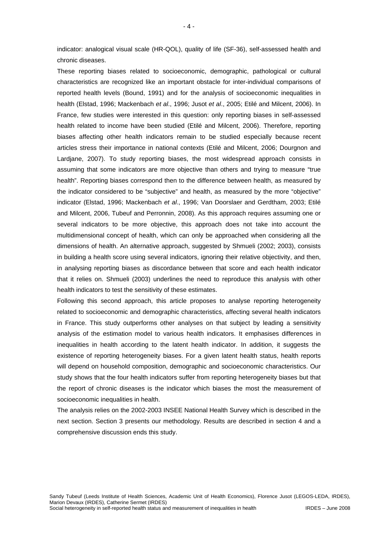indicator: analogical visual scale (HR-QOL), quality of life (SF-36), self-assessed health and chronic diseases.

These reporting biases related to socioeconomic, demographic, pathological or cultural characteristics are recognized like an important obstacle for inter-individual comparisons of reported health levels (Bound, 1991) and for the analysis of socioeconomic inequalities in health (Elstad, 1996; Mackenbach *et al*., 1996; Jusot *et al*., 2005; Etilé and Milcent, 2006). In France, few studies were interested in this question: only reporting biases in self-assessed health related to income have been studied (Etilé and Milcent, 2006). Therefore, reporting biases affecting other health indicators remain to be studied especially because recent articles stress their importance in national contexts (Etilé and Milcent, 2006; Dourgnon and Lardjane, 2007). To study reporting biases, the most widespread approach consists in assuming that some indicators are more objective than others and trying to measure "true health". Reporting biases correspond then to the difference between health, as measured by the indicator considered to be "subjective" and health, as measured by the more "objective" indicator (Elstad, 1996; Mackenbach *et al*., 1996; Van Doorslaer and Gerdtham, 2003; Etilé and Milcent, 2006, Tubeuf and Perronnin, 2008). As this approach requires assuming one or several indicators to be more objective, this approach does not take into account the multidimensional concept of health, which can only be approached when considering all the dimensions of health. An alternative approach, suggested by Shmueli (2002; 2003), consists in building a health score using several indicators, ignoring their relative objectivity, and then, in analysing reporting biases as discordance between that score and each health indicator that it relies on. Shmueli (2003) underlines the need to reproduce this analysis with other health indicators to test the sensitivity of these estimates.

Following this second approach, this article proposes to analyse reporting heterogeneity related to socioeconomic and demographic characteristics, affecting several health indicators in France. This study outperforms other analyses on that subject by leading a sensitivity analysis of the estimation model to various health indicators. It emphasises differences in inequalities in health according to the latent health indicator. In addition, it suggests the existence of reporting heterogeneity biases. For a given latent health status, health reports will depend on household composition, demographic and socioeconomic characteristics. Our study shows that the four health indicators suffer from reporting heterogeneity biases but that the report of chronic diseases is the indicator which biases the most the measurement of socioeconomic inequalities in health.

The analysis relies on the 2002-2003 INSEE National Health Survey which is described in the next section. Section 3 presents our methodology. Results are described in section 4 and a comprehensive discussion ends this study.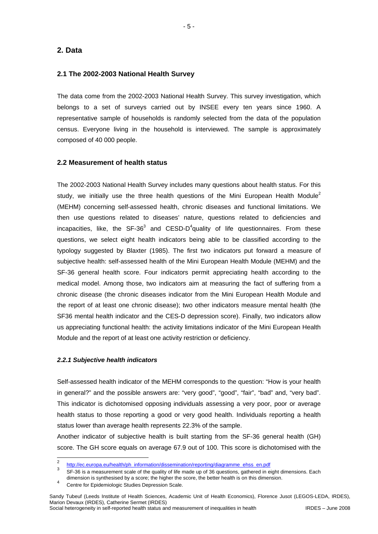# **2. Data**

### **2.1 The 2002-2003 National Health Survey**

The data come from the 2002-2003 National Health Survey. This survey investigation, which belongs to a set of surveys carried out by INSEE every ten years since 1960. A representative sample of households is randomly selected from the data of the population census. Everyone living in the household is interviewed. The sample is approximately composed of 40 000 people.

#### **2.2 Measurement of health status**

The 2002-2003 National Health Survey includes many questions about health status. For this study, we initially use the three health questions of the Mini European Health Module<sup>2</sup> (MEHM) concerning self-assessed health, chronic diseases and functional limitations. We then use questions related to diseases' nature, questions related to deficiencies and incapacities, like, the SF-36<sup>3</sup> and CESD-D<sup>4</sup>quality of life questionnaires. From these questions, we select eight health indicators being able to be classified according to the typology suggested by Blaxter (1985). The first two indicators put forward a measure of subjective health: self-assessed health of the Mini European Health Module (MEHM) and the SF-36 general health score. Four indicators permit appreciating health according to the medical model. Among those, two indicators aim at measuring the fact of suffering from a chronic disease (the chronic diseases indicator from the Mini European Health Module and the report of at least one chronic disease); two other indicators measure mental health (the SF36 mental health indicator and the CES-D depression score). Finally, two indicators allow us appreciating functional health: the activity limitations indicator of the Mini European Health Module and the report of at least one activity restriction or deficiency.

#### *2.2.1 Subjective health indicators*

Self-assessed health indicator of the MEHM corresponds to the question: "How is your health in general?" and the possible answers are: "very good", "good", "fair", "bad" and, "very bad". This indicator is dichotomised opposing individuals assessing a very poor, poor or average health status to those reporting a good or very good health. Individuals reporting a health status lower than average health represents 22.3% of the sample.

Another indicator of subjective health is built starting from the SF-36 general health (GH) score. The GH score equals on average 67.9 out of 100. This score is dichotomised with the

 $\frac{1}{2}$ http://ec.europa.eu/health/ph\_information/dissemination/reporting/diagramme\_ehss\_en.pdf

<sup>3</sup> SF-36 is a measurement scale of the quality of life made up of 36 questions, gathered in eight dimensions. Each dimension is synthesised by a score; the higher the score, the better health is on this dimension.<br>4. Quate for Friday is the Democratic Quate

Centre for Epidemiologic Studies Depression Scale.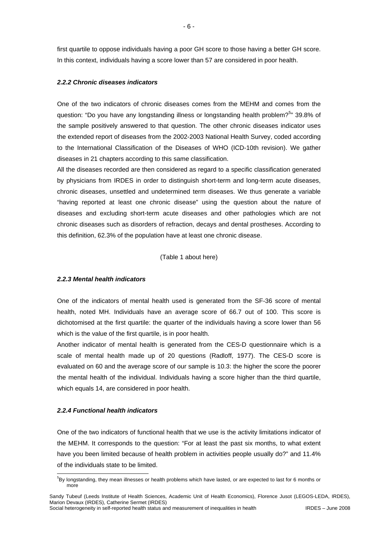first quartile to oppose individuals having a poor GH score to those having a better GH score. In this context, individuals having a score lower than 57 are considered in poor health.

#### *2.2.2 Chronic diseases indicators*

One of the two indicators of chronic diseases comes from the MEHM and comes from the question: "Do you have any longstanding illness or longstanding health problem?<sup>5</sup>" 39.8% of the sample positively answered to that question. The other chronic diseases indicator uses the extended report of diseases from the 2002-2003 National Health Survey, coded according to the International Classification of the Diseases of WHO (ICD-10th revision). We gather diseases in 21 chapters according to this same classification.

All the diseases recorded are then considered as regard to a specific classification generated by physicians from IRDES in order to distinguish short-term and long-term acute diseases, chronic diseases, unsettled and undetermined term diseases. We thus generate a variable "having reported at least one chronic disease" using the question about the nature of diseases and excluding short-term acute diseases and other pathologies which are not chronic diseases such as disorders of refraction, decays and dental prostheses. According to this definition, 62.3% of the population have at least one chronic disease.

(Table 1 about here)

#### *2.2.3 Mental health indicators*

One of the indicators of mental health used is generated from the SF-36 score of mental health, noted MH. Individuals have an average score of 66.7 out of 100. This score is dichotomised at the first quartile: the quarter of the individuals having a score lower than 56 which is the value of the first quartile, is in poor health.

Another indicator of mental health is generated from the CES-D questionnaire which is a scale of mental health made up of 20 questions (Radloff, 1977). The CES-D score is evaluated on 60 and the average score of our sample is 10.3: the higher the score the poorer the mental health of the individual. Individuals having a score higher than the third quartile, which equals 14, are considered in poor health.

#### *2.2.4 Functional health indicators*

One of the two indicators of functional health that we use is the activity limitations indicator of the MEHM. It corresponds to the question: "For at least the past six months, to what extent have you been limited because of health problem in activities people usually do?" and 11.4% of the individuals state to be limited.

<sup>-</sup>5 By longstanding, they mean illnesses or health problems which have lasted, or are expected to last for 6 months or more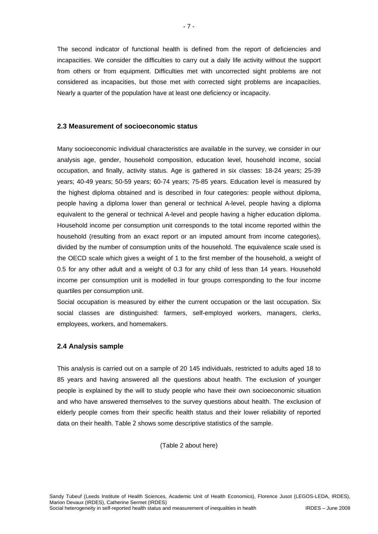The second indicator of functional health is defined from the report of deficiencies and incapacities. We consider the difficulties to carry out a daily life activity without the support from others or from equipment. Difficulties met with uncorrected sight problems are not considered as incapacities, but those met with corrected sight problems are incapacities. Nearly a quarter of the population have at least one deficiency or incapacity.

#### **2.3 Measurement of socioeconomic status**

Many socioeconomic individual characteristics are available in the survey, we consider in our analysis age, gender, household composition, education level, household income, social occupation, and finally, activity status. Age is gathered in six classes: 18-24 years; 25-39 years; 40-49 years; 50-59 years; 60-74 years; 75-85 years. Education level is measured by the highest diploma obtained and is described in four categories: people without diploma, people having a diploma lower than general or technical A-level, people having a diploma equivalent to the general or technical A-level and people having a higher education diploma. Household income per consumption unit corresponds to the total income reported within the household (resulting from an exact report or an imputed amount from income categories), divided by the number of consumption units of the household. The equivalence scale used is the OECD scale which gives a weight of 1 to the first member of the household, a weight of 0.5 for any other adult and a weight of 0.3 for any child of less than 14 years. Household income per consumption unit is modelled in four groups corresponding to the four income quartiles per consumption unit.

Social occupation is measured by either the current occupation or the last occupation. Six social classes are distinguished: farmers, self-employed workers, managers, clerks, employees, workers, and homemakers.

#### **2.4 Analysis sample**

This analysis is carried out on a sample of 20 145 individuals, restricted to adults aged 18 to 85 years and having answered all the questions about health. The exclusion of younger people is explained by the will to study people who have their own socioeconomic situation and who have answered themselves to the survey questions about health. The exclusion of elderly people comes from their specific health status and their lower reliability of reported data on their health. Table 2 shows some descriptive statistics of the sample.

(Table 2 about here)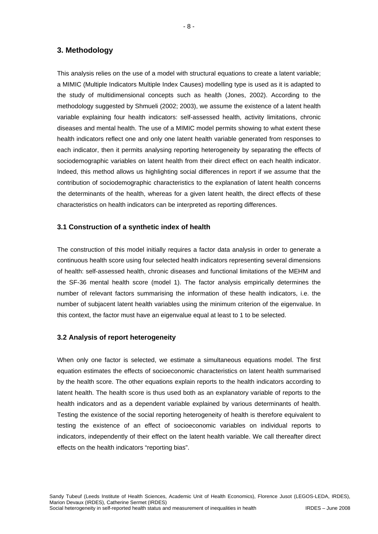# **3. Methodology**

This analysis relies on the use of a model with structural equations to create a latent variable; a MIMIC (Multiple Indicators Multiple Index Causes) modelling type is used as it is adapted to the study of multidimensional concepts such as health (Jones, 2002). According to the methodology suggested by Shmueli (2002; 2003), we assume the existence of a latent health variable explaining four health indicators: self-assessed health, activity limitations, chronic diseases and mental health. The use of a MIMIC model permits showing to what extent these health indicators reflect one and only one latent health variable generated from responses to each indicator, then it permits analysing reporting heterogeneity by separating the effects of sociodemographic variables on latent health from their direct effect on each health indicator. Indeed, this method allows us highlighting social differences in report if we assume that the contribution of sociodemographic characteristics to the explanation of latent health concerns the determinants of the health, whereas for a given latent health, the direct effects of these characteristics on health indicators can be interpreted as reporting differences.

## **3.1 Construction of a synthetic index of health**

The construction of this model initially requires a factor data analysis in order to generate a continuous health score using four selected health indicators representing several dimensions of health: self-assessed health, chronic diseases and functional limitations of the MEHM and the SF-36 mental health score (model 1). The factor analysis empirically determines the number of relevant factors summarising the information of these health indicators, i.e. the number of subjacent latent health variables using the minimum criterion of the eigenvalue. In this context, the factor must have an eigenvalue equal at least to 1 to be selected.

#### **3.2 Analysis of report heterogeneity**

When only one factor is selected, we estimate a simultaneous equations model. The first equation estimates the effects of socioeconomic characteristics on latent health summarised by the health score. The other equations explain reports to the health indicators according to latent health. The health score is thus used both as an explanatory variable of reports to the health indicators and as a dependent variable explained by various determinants of health. Testing the existence of the social reporting heterogeneity of health is therefore equivalent to testing the existence of an effect of socioeconomic variables on individual reports to indicators, independently of their effect on the latent health variable. We call thereafter direct effects on the health indicators "reporting bias".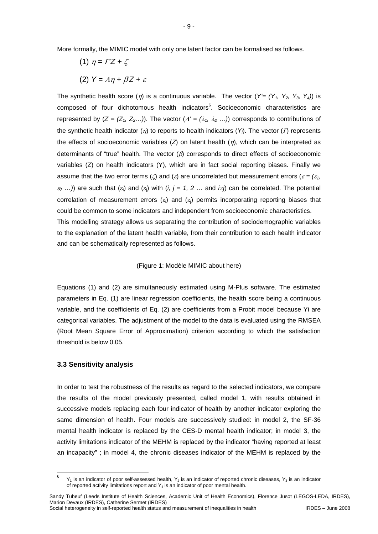More formally, the MIMIC model with only one latent factor can be formalised as follows.

- (1)  $\eta = \Gamma'Z + \zeta$
- (2) *Y =* Λη *+* β*'Z +* <sup>ε</sup>

The synthetic health score  $(\eta)$  is a continuous variable. The vector  $(Y'=(Y_1, Y_2, Y_3, Y_4))$  is composed of four dichotomous health indicators<sup>6</sup>. Socioeconomic characteristics are represented by  $(Z = (Z_1, Z_2...))$ . The vector  $(A' = (\lambda_1, \lambda_2...))$  corresponds to contributions of the synthetic health indicator  $(\eta)$  to reports to health indicators  $(Y_i)$ . The vector  $(I)$  represents the effects of socioeconomic variables (*Z*) on latent health (η), which can be interpreted as determinants of "true" health. The vector  $(\beta)$  corresponds to direct effects of socioeconomic variables (Z) on health indicators (Y), which are in fact social reporting biases. Finally we assume that the two error terms ( $\zeta$ ) and ( $\varepsilon$ ) are uncorrelated but measurement errors ( $\varepsilon = (\varepsilon_1, \zeta_2)$  $\varepsilon_2$  ...)) are such that  $(\varepsilon_i)$  and  $(\varepsilon_j)$  with  $(i, j = 1, 2, \ldots)$  and  $i \neq j$  can be correlated. The potential correlation of measurement errors  $(\varepsilon_i)$  and  $(\varepsilon_j)$  permits incorporating reporting biases that could be common to some indicators and independent from socioeconomic characteristics. This modelling strategy allows us separating the contribution of sociodemographic variables to the explanation of the latent health variable, from their contribution to each health indicator

and can be schematically represented as follows.

#### (Figure 1: Modèle MIMIC about here)

Equations (1) and (2) are simultaneously estimated using M-Plus software. The estimated parameters in Eq. (1) are linear regression coefficients, the health score being a continuous variable, and the coefficients of Eq. (2) are coefficients from a Probit model because Yi are categorical variables. The adjustment of the model to the data is evaluated using the RMSEA (Root Mean Square Error of Approximation) criterion according to which the satisfaction threshold is below 0.05.

#### **3.3 Sensitivity analysis**

In order to test the robustness of the results as regard to the selected indicators, we compare the results of the model previously presented, called model 1, with results obtained in successive models replacing each four indicator of health by another indicator exploring the same dimension of health. Four models are successively studied: in model 2, the SF-36 mental health indicator is replaced by the CES-D mental health indicator; in model 3, the activity limitations indicator of the MEHM is replaced by the indicator "having reported at least an incapacity" ; in model 4, the chronic diseases indicator of the MEHM is replaced by the

 $\boldsymbol{6}$  $Y_1$  is an indicator of poor self-assessed health,  $Y_2$  is an indicator of reported chronic diseases,  $Y_3$  is an indicator of reported activity limitations report and  $Y_4$  is an indicator of poor mental health.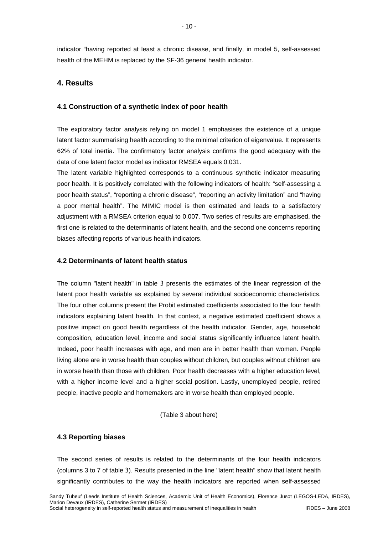indicator "having reported at least a chronic disease, and finally, in model 5, self-assessed health of the MEHM is replaced by the SF-36 general health indicator.

# **4. Results**

# **4.1 Construction of a synthetic index of poor health**

The exploratory factor analysis relying on model 1 emphasises the existence of a unique latent factor summarising health according to the minimal criterion of eigenvalue. It represents 62% of total inertia. The confirmatory factor analysis confirms the good adequacy with the data of one latent factor model as indicator RMSEA equals 0.031.

The latent variable highlighted corresponds to a continuous synthetic indicator measuring poor health. It is positively correlated with the following indicators of health: "self-assessing a poor health status", "reporting a chronic disease", "reporting an activity limitation" and "having a poor mental health". The MIMIC model is then estimated and leads to a satisfactory adjustment with a RMSEA criterion equal to 0.007. Two series of results are emphasised, the first one is related to the determinants of latent health, and the second one concerns reporting biases affecting reports of various health indicators.

# **4.2 Determinants of latent health status**

The column "latent health" in table 3 presents the estimates of the linear regression of the latent poor health variable as explained by several individual socioeconomic characteristics. The four other columns present the Probit estimated coefficients associated to the four health indicators explaining latent health. In that context, a negative estimated coefficient shows a positive impact on good health regardless of the health indicator. Gender, age, household composition, education level, income and social status significantly influence latent health. Indeed, poor health increases with age, and men are in better health than women. People living alone are in worse health than couples without children, but couples without children are in worse health than those with children. Poor health decreases with a higher education level, with a higher income level and a higher social position. Lastly, unemployed people, retired people, inactive people and homemakers are in worse health than employed people.

(Table 3 about here)

# **4.3 Reporting biases**

The second series of results is related to the determinants of the four health indicators (columns 3 to 7 of table 3). Results presented in the line "latent health" show that latent health significantly contributes to the way the health indicators are reported when self-assessed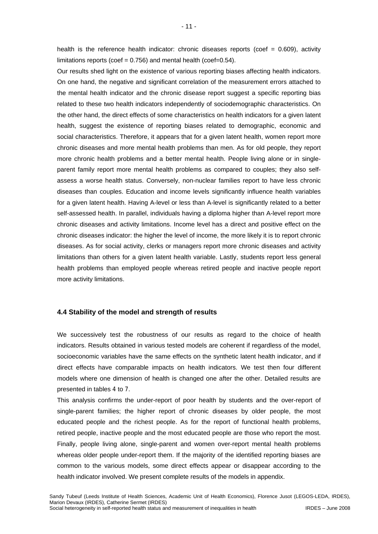health is the reference health indicator: chronic diseases reports (coef  $= 0.609$ ), activity limitations reports (coef =  $0.756$ ) and mental health (coef= $0.54$ ).

Our results shed light on the existence of various reporting biases affecting health indicators. On one hand, the negative and significant correlation of the measurement errors attached to the mental health indicator and the chronic disease report suggest a specific reporting bias related to these two health indicators independently of sociodemographic characteristics. On the other hand, the direct effects of some characteristics on health indicators for a given latent health, suggest the existence of reporting biases related to demographic, economic and social characteristics. Therefore, it appears that for a given latent health, women report more chronic diseases and more mental health problems than men. As for old people, they report more chronic health problems and a better mental health. People living alone or in singleparent family report more mental health problems as compared to couples; they also selfassess a worse health status. Conversely, non-nuclear families report to have less chronic diseases than couples. Education and income levels significantly influence health variables for a given latent health. Having A-level or less than A-level is significantly related to a better self-assessed health. In parallel, individuals having a diploma higher than A-level report more chronic diseases and activity limitations. Income level has a direct and positive effect on the chronic diseases indicator: the higher the level of income, the more likely it is to report chronic diseases. As for social activity, clerks or managers report more chronic diseases and activity limitations than others for a given latent health variable. Lastly, students report less general health problems than employed people whereas retired people and inactive people report more activity limitations.

#### **4.4 Stability of the model and strength of results**

We successively test the robustness of our results as regard to the choice of health indicators. Results obtained in various tested models are coherent if regardless of the model, socioeconomic variables have the same effects on the synthetic latent health indicator, and if direct effects have comparable impacts on health indicators. We test then four different models where one dimension of health is changed one after the other. Detailed results are presented in tables 4 to 7.

This analysis confirms the under-report of poor health by students and the over-report of single-parent families; the higher report of chronic diseases by older people, the most educated people and the richest people. As for the report of functional health problems, retired people, inactive people and the most educated people are those who report the most. Finally, people living alone, single-parent and women over-report mental health problems whereas older people under-report them. If the majority of the identified reporting biases are common to the various models, some direct effects appear or disappear according to the health indicator involved. We present complete results of the models in appendix.

- 11 -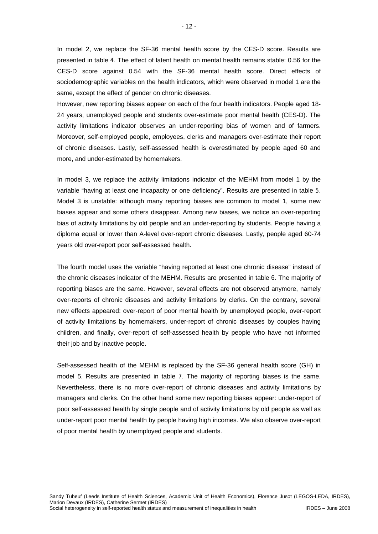In model 2, we replace the SF-36 mental health score by the CES-D score. Results are presented in table 4. The effect of latent health on mental health remains stable: 0.56 for the CES-D score against 0.54 with the SF-36 mental health score. Direct effects of sociodemographic variables on the health indicators, which were observed in model 1 are the same, except the effect of gender on chronic diseases.

However, new reporting biases appear on each of the four health indicators. People aged 18- 24 years, unemployed people and students over-estimate poor mental health (CES-D). The activity limitations indicator observes an under-reporting bias of women and of farmers. Moreover, self-employed people, employees, clerks and managers over-estimate their report of chronic diseases. Lastly, self-assessed health is overestimated by people aged 60 and more, and under-estimated by homemakers.

In model 3, we replace the activity limitations indicator of the MEHM from model 1 by the variable "having at least one incapacity or one deficiency". Results are presented in table 5. Model 3 is unstable: although many reporting biases are common to model 1, some new biases appear and some others disappear. Among new biases, we notice an over-reporting bias of activity limitations by old people and an under-reporting by students. People having a diploma equal or lower than A-level over-report chronic diseases. Lastly, people aged 60-74 years old over-report poor self-assessed health.

The fourth model uses the variable "having reported at least one chronic disease" instead of the chronic diseases indicator of the MEHM. Results are presented in table 6. The majority of reporting biases are the same. However, several effects are not observed anymore, namely over-reports of chronic diseases and activity limitations by clerks. On the contrary, several new effects appeared: over-report of poor mental health by unemployed people, over-report of activity limitations by homemakers, under-report of chronic diseases by couples having children, and finally, over-report of self-assessed health by people who have not informed their job and by inactive people.

Self-assessed health of the MEHM is replaced by the SF-36 general health score (GH) in model 5. Results are presented in table 7. The majority of reporting biases is the same. Nevertheless, there is no more over-report of chronic diseases and activity limitations by managers and clerks. On the other hand some new reporting biases appear: under-report of poor self-assessed health by single people and of activity limitations by old people as well as under-report poor mental health by people having high incomes. We also observe over-report of poor mental health by unemployed people and students.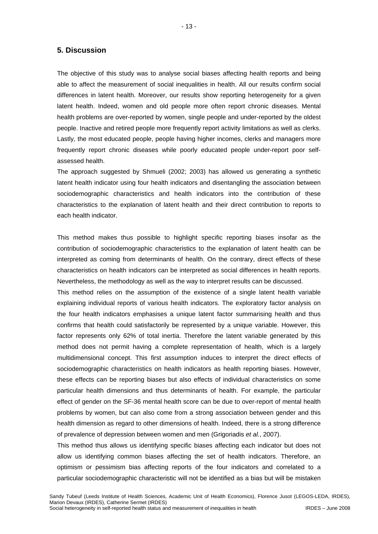## **5. Discussion**

The objective of this study was to analyse social biases affecting health reports and being able to affect the measurement of social inequalities in health. All our results confirm social differences in latent health. Moreover, our results show reporting heterogeneity for a given latent health. Indeed, women and old people more often report chronic diseases. Mental health problems are over-reported by women, single people and under-reported by the oldest people. Inactive and retired people more frequently report activity limitations as well as clerks. Lastly, the most educated people, people having higher incomes, clerks and managers more frequently report chronic diseases while poorly educated people under-report poor selfassessed health.

The approach suggested by Shmueli (2002; 2003) has allowed us generating a synthetic latent health indicator using four health indicators and disentangling the association between sociodemographic characteristics and health indicators into the contribution of these characteristics to the explanation of latent health and their direct contribution to reports to each health indicator.

This method makes thus possible to highlight specific reporting biases insofar as the contribution of sociodemographic characteristics to the explanation of latent health can be interpreted as coming from determinants of health. On the contrary, direct effects of these characteristics on health indicators can be interpreted as social differences in health reports. Nevertheless, the methodology as well as the way to interpret results can be discussed.

This method relies on the assumption of the existence of a single latent health variable explaining individual reports of various health indicators. The exploratory factor analysis on the four health indicators emphasises a unique latent factor summarising health and thus confirms that health could satisfactorily be represented by a unique variable. However, this factor represents only 62% of total inertia. Therefore the latent variable generated by this method does not permit having a complete representation of health, which is a largely multidimensional concept. This first assumption induces to interpret the direct effects of sociodemographic characteristics on health indicators as health reporting biases. However, these effects can be reporting biases but also effects of individual characteristics on some particular health dimensions and thus determinants of health. For example, the particular effect of gender on the SF-36 mental health score can be due to over-report of mental health problems by women, but can also come from a strong association between gender and this health dimension as regard to other dimensions of health. Indeed, there is a strong difference of prevalence of depression between women and men (Grigoriadis *et al.*, 2007).

This method thus allows us identifying specific biases affecting each indicator but does not allow us identifying common biases affecting the set of health indicators. Therefore, an optimism or pessimism bias affecting reports of the four indicators and correlated to a particular sociodemographic characteristic will not be identified as a bias but will be mistaken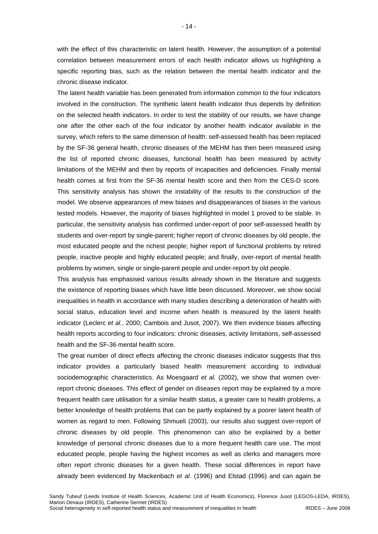with the effect of this characteristic on latent health. However, the assumption of a potential correlation between measurement errors of each health indicator allows us highlighting a specific reporting bias, such as the relation between the mental health indicator and the chronic disease indicator.

The latent health variable has been generated from information common to the four indicators involved in the construction. The synthetic latent health indicator thus depends by definition on the selected health indicators. In order to test the stability of our results, we have change one after the other each of the four indicator by another health indicator available in the survey, which refers to the same dimension of health: self-assessed health has been replaced by the SF-36 general health, chronic diseases of the MEHM has then been measured using the list of reported chronic diseases, functional health has been measured by activity limitations of the MEHM and then by reports of incapacities and deficiencies. Finally mental health comes at first from the SF-36 mental health score and then from the CES-D score. This sensitivity analysis has shown the instability of the results to the construction of the model. We observe appearances of mew biases and disappearances of biases in the various tested models. However, the majority of biases highlighted in model 1 proved to be stable. In particular, the sensitivity analysis has confirmed under-report of poor self-assessed health by students and over-report by single-parent; higher report of chronic diseases by old people, the most educated people and the richest people; higher report of functional problems by retired people, inactive people and highly educated people; and finally, over-report of mental health problems by women, single or single-parent people and under-report by old people.

This analysis has emphasised various results already shown in the literature and suggests the existence of reporting biases which have little been discussed. Moreover, we show social inequalities in health in accordance with many studies describing a deterioration of health with social status, education level and income when health is measured by the latent health indicator (Leclerc *et al.*, 2000; Cambois and Jusot, 2007). We then evidence biases affecting health reports according to four indicators: chronic diseases, activity limitations, self-assessed health and the SF-36 mental health score.

The great number of direct effects affecting the chronic diseases indicator suggests that this indicator provides a particularly biased health measurement according to individual sociodemographic characteristics. As Moesgaard *et al.* (2002), we show that women overreport chronic diseases. This effect of gender on diseases report may be explained by a more frequent health care utilisation for a similar health status, a greater care to health problems, a better knowledge of health problems that can be partly explained by a poorer latent health of women as regard to men. Following Shmueli (2003), our results also suggest over-report of chronic diseases by old people. This phenomenon can also be explained by a better knowledge of personal chronic diseases due to a more frequent health care use. The most educated people, people having the highest incomes as well as clerks and managers more often report chronic diseases for a given health. These social differences in report have already been evidenced by Mackenbach *et al*. (1996) and Elstad (1996) and can again be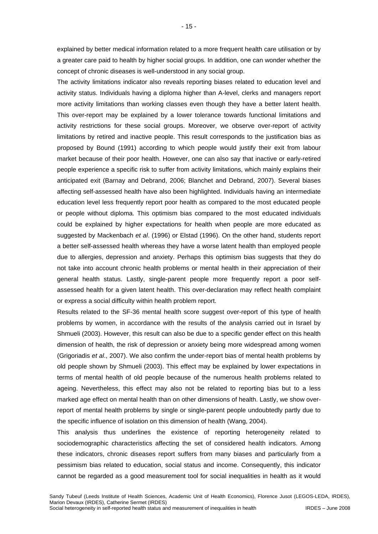explained by better medical information related to a more frequent health care utilisation or by a greater care paid to health by higher social groups. In addition, one can wonder whether the concept of chronic diseases is well-understood in any social group.

The activity limitations indicator also reveals reporting biases related to education level and activity status. Individuals having a diploma higher than A-level, clerks and managers report more activity limitations than working classes even though they have a better latent health. This over-report may be explained by a lower tolerance towards functional limitations and activity restrictions for these social groups. Moreover, we observe over-report of activity limitations by retired and inactive people. This result corresponds to the justification bias as proposed by Bound (1991) according to which people would justify their exit from labour market because of their poor health. However, one can also say that inactive or early-retired people experience a specific risk to suffer from activity limitations, which mainly explains their anticipated exit (Barnay and Debrand, 2006; Blanchet and Debrand, 2007). Several biases affecting self-assessed health have also been highlighted. Individuals having an intermediate education level less frequently report poor health as compared to the most educated people or people without diploma. This optimism bias compared to the most educated individuals could be explained by higher expectations for health when people are more educated as suggested by Mackenbach *et al*. (1996) or Elstad (1996). On the other hand, students report a better self-assessed health whereas they have a worse latent health than employed people due to allergies, depression and anxiety. Perhaps this optimism bias suggests that they do not take into account chronic health problems or mental health in their appreciation of their general health status. Lastly, single-parent people more frequently report a poor selfassessed health for a given latent health. This over-declaration may reflect health complaint or express a social difficulty within health problem report.

Results related to the SF-36 mental health score suggest over-report of this type of health problems by women, in accordance with the results of the analysis carried out in Israel by Shmueli (2003). However, this result can also be due to a specific gender effect on this health dimension of health, the risk of depression or anxiety being more widespread among women (Grigoriadis *et al*., 2007). We also confirm the under-report bias of mental health problems by old people shown by Shmueli (2003). This effect may be explained by lower expectations in terms of mental health of old people because of the numerous health problems related to ageing. Nevertheless, this effect may also not be related to reporting bias but to a less marked age effect on mental health than on other dimensions of health. Lastly, we show overreport of mental health problems by single or single-parent people undoubtedly partly due to the specific influence of isolation on this dimension of health (Wang, 2004).

This analysis thus underlines the existence of reporting heterogeneity related to sociodemographic characteristics affecting the set of considered health indicators. Among these indicators, chronic diseases report suffers from many biases and particularly from a pessimism bias related to education, social status and income. Consequently, this indicator cannot be regarded as a good measurement tool for social inequalities in health as it would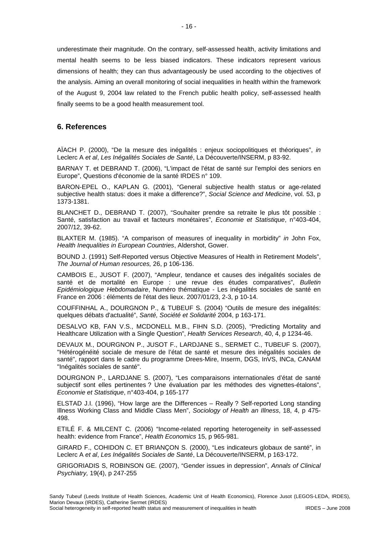underestimate their magnitude. On the contrary, self-assessed health, activity limitations and mental health seems to be less biased indicators. These indicators represent various dimensions of health; they can thus advantageously be used according to the objectives of the analysis. Aiming an overall monitoring of social inequalities in health within the framework of the August 9, 2004 law related to the French public health policy, self-assessed health finally seems to be a good health measurement tool.

# **6. References**

AÏACH P. (2000), "De la mesure des inégalités : enjeux sociopolitiques et théoriques", *in* Leclerc A *et al*, *Les Inégalités Sociales de Santé*, La Découverte/INSERM, p 83-92.

BARNAY T. et DEBRAND T. (2006), "L'impact de l'état de santé sur l'emploi des seniors en Europe", Questions d'économie de la santé IRDES n° 109.

BARON-EPEL O., KAPLAN G. (2001), "General subjective health status or age-related subjective health status: does it make a difference?", *Social Science and Medicine*, vol. 53, p 1373-1381.

BLANCHET D., DEBRAND T. (2007), "Souhaiter prendre sa retraite le plus tôt possible : Santé, satisfaction au travail et facteurs monétaires", *Economie et Statistique*, n°403-404, 2007/12, 39-62.

BLAXTER M. (1985). "A comparison of measures of inequality in morbidity" *in* John Fox, *Health Inequalities in European Countries*, Aldershot, Gower.

BOUND J. (1991) Self-Reported versus Objective Measures of Health in Retirement Models", *The Journal of Human resources,* 26, p 106-136.

CAMBOIS E., JUSOT F. (2007), "Ampleur, tendance et causes des inégalités sociales de santé et de mortalité en Europe : une revue des études comparatives", *Bulletin Epidémiologique Hebdomadaire*, Numéro thématique - Les inégalités sociales de santé en France en 2006 : éléments de l'état des lieux. 2007/01/23, 2-3, p 10-14.

COUFFINHAL A., DOURGNON P., & TUBEUF S. (2004) "Outils de mesure des inégalités: quelques débats d'actualité", *Santé, Société et Solidarité* 2004, p 163-171.

DESALVO KB, FAN V.S., MCDONELL M.B., FIHN S.D. (2005), "Predicting Mortality and Healthcare Utilization with a Single Question", *Health Services Research*, 40, 4, p 1234-46.

DEVAUX M., DOURGNON P., JUSOT F., LARDJANE S., SERMET C., TUBEUF S. (2007), "Hétérogénéité sociale de mesure de l'état de santé et mesure des inégalités sociales de santé", rapport dans le cadre du programme Drees-Mire, Inserm, DGS, InVS, INCa, CANAM "Inégalités sociales de santé".

DOURGNON P., LARDJANE S. (2007), "Les comparaisons internationales d'état de santé subjectif sont elles pertinentes ? Une évaluation par les méthodes des vignettes-étalons", *Economie et Statistique*, n°403-404, p 165-177

ELSTAD J.I. (1996), "How large are the Differences – Really ? Self-reported Long standing Illness Working Class and Middle Class Men", *Sociology of Health an Illness*, 18, 4, p 475- 498.

ETILÉ F. & MILCENT C. (2006) "Income-related reporting heterogeneity in self-assessed health: evidence from France", *Health Economics* 15, p 965-981.

GIRARD F., COHIDON C. ET BRIANÇON S. (2000), "Les indicateurs globaux de santé", in Leclerc A *et al*, *Les Inégalités Sociales de Santé*, La Découverte/INSERM, p 163-172.

GRIGORIADIS S, ROBINSON GE. (2007), "Gender issues in depression", *Annals of Clinical Psychiatry,* 19(4), p 247-255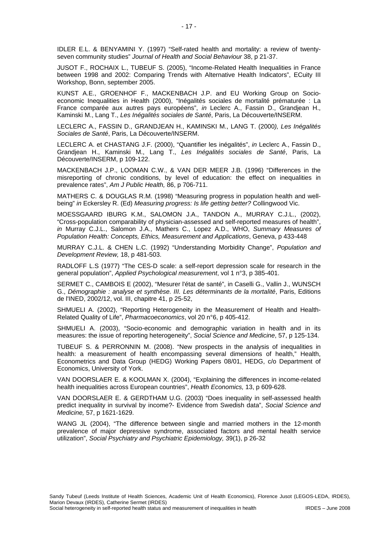IDLER E.L. & BENYAMINI Y. (1997) "Self-rated health and mortality: a review of twentyseven community studies" *Journal of Health and Social Behaviour* 38, p 21-37.

JUSOT F., ROCHAIX L., TUBEUF S. (2005), "Income-Related Health Inequalities in France between 1998 and 2002: Comparing Trends with Alternative Health Indicators", ECuity III Workshop, Bonn, september 2005.

KUNST A.E., GROENHOF F., MACKENBACH J.P. and EU Working Group on Socioeconomic Inequalities in Health (2000), "Inégalités sociales de mortalité prématurée : La France comparée aux autres pays européens", *in* Leclerc A., Fassin D., Grandjean H., Kaminski M., Lang T., *Les Inégalités sociales de Santé*, Paris, La Découverte/INSERM.

LECLERC A., FASSIN D., GRANDJEAN H., KAMINSKI M., LANG T. (2000*), Les Inégalités Sociales de Santé*, Paris, La Découverte/INSERM.

LECLERC A. et CHASTANG J.F. (2000), "Quantifier les inégalités", *in* Leclerc A., Fassin D., Grandjean H., Kaminski M., Lang T., *Les Inégalités sociales de Santé*, Paris, La Découverte/INSERM, p 109-122.

MACKENBACH J.P., LOOMAN C.W., & VAN DER MEER J.B. (1996) "Differences in the misreporting of chronic conditions, by level of education: the effect on inequalities in prevalence rates", *Am J Public Health,* 86, p 706-711.

MATHERS C. & DOUGLAS R.M. (1998) "Measuring progress in population health and wellbeing" *in* Eckersley R. (Ed) *Measuring progress: Is life getting better?* Collingwood Vic.

MOESSGAARD IBURG K.M., SALOMON J.A., TANDON A., MURRAY C.J.L., (2002), "Cross-population comparability of physician-assessed and self-reported measures of health", *in* Murray C.J.L., Salomon J.A., Mathers C., Lopez A.D., WHO, *Summary Measures of Population Health: Concepts, Ethics, Measurement and Applications*, Geneva, p 433-448

MURRAY C.J.L. & CHEN L.C. (1992) "Understanding Morbidity Change", *Population and Development Review,* 18, p 481-503.

RADLOFF L.S (1977) "The CES-D scale: a self-report depression scale for research in the general population", *Applied Psychological measurement*, vol 1 n°3, p 385-401.

SERMET C., CAMBOIS E (2002), "Mesurer l'état de santé", in Caselli G., Vallin J., WUNSCH G., *Démographie : analyse et synthèse. III. Les déterminants de la mortalité*, Paris, Editions de l'INED, 2002/12, vol. III, chapitre 41, p 25-52,

SHMUELI A. (2002), "Reporting Heterogeneity in the Measurement of Health and Health-Related Quality of Life", *Pharmacoeconomics*, vol 20 n°6, p 405-412.

SHMUELI A. (2003), "Socio-economic and demographic variation in health and in its measures: the issue of reporting heterogeneity", *Social Science and Medicine*, 57, p 125-134.

TUBEUF S. & PERRONNIN M. (2008). "New prospects in the analysis of inequalities in health: a measurement of health encompassing several dimensions of health," Health, Econometrics and Data Group (HEDG) Working Papers 08/01, HEDG, c/o Department of Economics, University of York.

VAN DOORSLAER E. & KOOLMAN X. (2004), "Explaining the differences in income-related health inequalities across European countries", *Health Economics,* 13, p 609-628.

VAN DOORSLAER E. & GERDTHAM U.G. (2003) "Does inequality in self-assessed health predict inequality in survival by income?- Evidence from Swedish data", *Social Science and Medicine,* 57, p 1621-1629.

WANG JL (2004), "The difference between single and married mothers in the 12-month prevalence of major depressive syndrome, associated factors and mental health service utilization", *Social Psychiatry and Psychiatric Epidemiology,* 39(1), p 26-32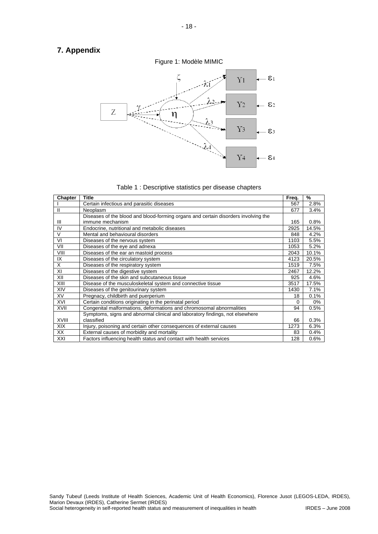# **7. Appendix**





| <b>Chapter</b> | Title                                                                              | Freq. | %     |
|----------------|------------------------------------------------------------------------------------|-------|-------|
|                | Certain infectious and parasitic diseases                                          | 567   | 2.8%  |
|                | <b>Neoplasm</b>                                                                    | 677   | 3.4%  |
|                | Diseases of the blood and blood-forming organs and certain disorders involving the |       |       |
| Ш              | immune mechanism                                                                   | 165   | 0.8%  |
| IV             | Endocrine, nutritional and metabolic diseases                                      | 2925  | 14.5% |
| V              | Mental and behavioural disorders                                                   | 848   | 4.2%  |
| VI             | Diseases of the nervous system                                                     | 1103  | 5.5%  |
| VII            | Diseases of the eye and adnexa                                                     | 1053  | 5.2%  |
| VIII           | Diseases of the ear an mastoid process                                             | 2043  | 10.1% |
| IX             | Diseases of the circulatory system                                                 | 4123  | 20.5% |
| X              | Diseases of the respiratory system                                                 | 1519  | 7.5%  |
| XI             | Diseases of the digestive system                                                   | 2467  | 12.2% |
| XII            | Diseases of the skin and subcutaneous tissue                                       | 925   | 4.6%  |
| XIII           | Disease of the musculoskeletal system and connective tissue                        | 3517  | 17.5% |
| XIV            | Diseases of the genitourinary system                                               | 1430  | 7.1%  |
| <b>XV</b>      | Pregnacy, childbirth and puerperium                                                | 18    | 0.1%  |
| XVI            | Certain conditions originating in the perinatal period                             | 0     | 0%    |
| XVII           | Congenital malformations, deformations and chromosomal abnormalities               | 94    | 0.5%  |
|                | Symptoms, signs and abnormal clinical and laboratory findings, not elsewhere       |       |       |
| <b>XVIII</b>   | classified                                                                         | 66    | 0.3%  |
| <b>XIX</b>     | Injury, poisoning and certain other consequences of external causes                | 1273  | 6.3%  |
| XX             | External causes of morbidity and mortality                                         | 83    | 0.4%  |
| XXI            | Factors influencing health status and contact with health services                 | 128   | 0.6%  |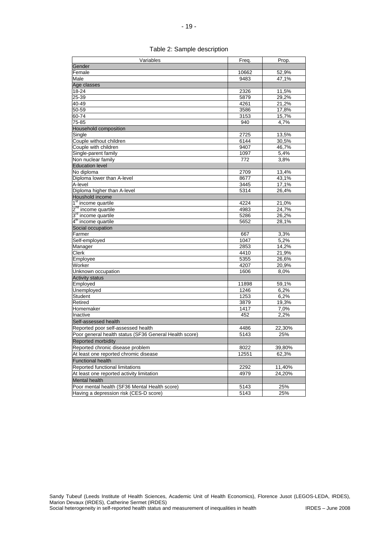| Variables                                                          | Freq.             | Prop.        |
|--------------------------------------------------------------------|-------------------|--------------|
| Gender                                                             |                   |              |
| Female                                                             | 10662             | 52,9%        |
| Male                                                               | 9483              | 47,1%        |
| Age classes                                                        |                   |              |
| $18 - 24$                                                          | 2326              | 11,5%        |
| 25-39                                                              | 5879              | 29,2%        |
| 40-49                                                              | 4261              | 21,2%        |
| 50-59                                                              | 3586              | 17,8%        |
| 60-74                                                              | 3153              | 15,7%        |
| $75 - 85$                                                          | 940               | 4,7%         |
| Household composition                                              |                   |              |
| Single                                                             | 2725              | 13,5%        |
| Couple without children                                            | $61\overline{44}$ | 30,5%        |
| Couple with children                                               | 9407              | 46,7%        |
| Single-parent family                                               | 1097              | 5,4%         |
| Non nuclear family                                                 | 772               | 3,8%         |
| <b>Education level</b>                                             |                   |              |
| No diploma                                                         | 2709              | 13,4%        |
| Diploma lower than A-level                                         | 8677              | 43,1%        |
| A-level                                                            | 3445              | 17,1%        |
| Diploma higher than A-level                                        | 5314              | 26,4%        |
| Houshold income                                                    |                   |              |
| 1 <sup>st</sup> income quartile                                    | 4224              | 21,0%        |
| 2 <sup>nd</sup> income quartile<br>3 <sup>rd</sup> income quartile | 4983              | 24,7%        |
|                                                                    | 5286              | 26,2%        |
| 4 <sup>th</sup> income quartile                                    | 5652              | 28,1%        |
| Social occupation                                                  |                   |              |
| Farmer                                                             | 667               | 3,3%         |
| Self-employed                                                      | 1047              | 5,2%         |
| Manager                                                            | 2853              | 14,2%        |
| Clerk                                                              | 4410              | 21,9%        |
| Employee                                                           | 5355              | 26,6%        |
| Worker                                                             | 4207              | 20,9%        |
| Unknown occupation                                                 | 1606              | 8,0%         |
| <b>Activity status</b>                                             |                   |              |
| Employed<br>Unemployed                                             | 11898<br>1246     | 59,1%        |
|                                                                    | 1253              | 6,2%<br>6,2% |
| Student<br>Retired                                                 | 3879              | 19,3%        |
| Homemaker                                                          | 1417              |              |
| Inactive                                                           | 452               | 7,0%<br>2,2% |
| Self-assessed health                                               |                   |              |
| Reported poor self-assessed health                                 |                   | 22,30%       |
| Poor general health status (SF36 General Health score)             | 4486<br>5143      |              |
|                                                                    |                   | 25%          |
| Reported morbidity                                                 |                   |              |
| Reported chronic disease problem                                   | 8022              | 39,80%       |
| At least one reported chromic disease                              | 12551             | 62,3%        |
| <b>Functional health</b>                                           |                   |              |
| Reported functional limitations                                    | 2292              | 11,40%       |
| At least one reported activity limitation                          | 4979              | 24,20%       |
| <b>Mental health</b>                                               |                   |              |
| Poor mental health (SF36 Mental Health score)                      | 5143              | 25%          |
| Having a depression risk (CES-D score)                             | 5143              | 25%          |

| Table 2: Sample description |  |
|-----------------------------|--|
|-----------------------------|--|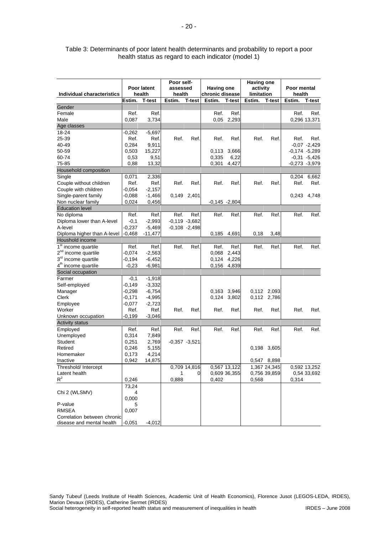| Individual characteristics      | Poor latent<br>health |           | Poor self-<br>assessed<br>health |                  | <b>Having one</b><br>chronic disease |               | <b>Having one</b><br>activity<br>limitation |              | Poor mental<br>health |                 |
|---------------------------------|-----------------------|-----------|----------------------------------|------------------|--------------------------------------|---------------|---------------------------------------------|--------------|-----------------------|-----------------|
|                                 | Estim.                | T-test    | Estim.                           | <b>T-test</b>    | Estim.                               | <b>T-test</b> | Estim.                                      | T-test       | Estim.                | <b>T-test</b>   |
| Gender                          |                       |           |                                  |                  |                                      |               |                                             |              |                       |                 |
| Female                          | Ref.                  | Ref.      |                                  |                  | Ref.                                 | Ref.          |                                             |              | Ref.                  | Ref.            |
| Male                            | 0,087                 | 3,734     |                                  |                  | 0,05                                 | 2,293         |                                             |              |                       | 0,296 13,371    |
| Age classes                     |                       |           |                                  |                  |                                      |               |                                             |              |                       |                 |
| 18-24                           | $-0,262$              | $-5,697$  |                                  |                  |                                      |               |                                             |              |                       |                 |
| 25-39                           | Ref.                  | Ref.      | Ref.                             | Ref.             | Ref.                                 | Ref.          | Ref.                                        | Ref.         | Ref.                  | Ref.            |
| 40-49                           | 0,284                 | 9,911     |                                  |                  |                                      |               |                                             |              |                       | $-0,07 -2,429$  |
| 50-59                           | 0,503                 | 15,227    |                                  |                  | 0,113                                | 3,666         |                                             |              |                       | $-0,174 -5,289$ |
| 60-74                           | 0,53                  | 9,51      |                                  |                  | 0,335                                | 6,22          |                                             |              |                       | $-0,31 -5,426$  |
| 75-85                           | 0,88                  | 13,32     |                                  |                  | 0,301                                | 4,427         |                                             |              |                       | $-0,273 -3,979$ |
| Household composition           |                       |           |                                  |                  |                                      |               |                                             |              |                       |                 |
| Single                          | 0,071                 | 2,336     |                                  |                  |                                      |               |                                             |              | 0,204                 | 6,662           |
| Couple without children         | Ref.                  | Ref.      | Ref.                             | Ref.             | Ref.                                 | Ref.          | Ref.                                        | Ref.         | Ref.                  | Ref.            |
| Couple with children            | $-0,054$              | $-2,157$  |                                  |                  |                                      |               |                                             |              |                       |                 |
| Single-parent family            | -0,088                | $-1,466$  |                                  | 0,149 2,401      |                                      |               |                                             |              |                       | 0,243 4,748     |
| Non nuclear family              | 0,024                 | 0,456     |                                  |                  | $-0,145 - 2,804$                     |               |                                             |              |                       |                 |
| <b>Education level</b>          |                       |           |                                  |                  |                                      |               |                                             |              |                       |                 |
| No diploma                      | Ref.                  | Ref.      | Ref.                             | Ref.             | Ref.                                 | Ref.          | Ref.                                        | Ref.         | Ref.                  | Ref.            |
| Diploma lower than A-level      | $-0,1$                | $-2,993$  |                                  | $-0,119 -3,682$  |                                      |               |                                             |              |                       |                 |
| A-level                         | $-0,237$              | $-5,469$  |                                  | $-0,108 - 2,498$ |                                      |               |                                             |              |                       |                 |
| Diploma higher than A-level     | $-0,468$              | $-11,477$ |                                  |                  | 0,185                                | 4,691         | 0,18                                        | 3,48         |                       |                 |
| Houshold income                 |                       |           |                                  |                  |                                      |               |                                             |              |                       |                 |
| 1 <sup>st</sup> income quartile | Ref.                  | Ref.      | Ref.                             | Ref.             | Ref.                                 | Ref.          | Ref.                                        | Ref.         | Ref.                  | Ref.            |
| 2 <sup>nd</sup> income quartile | $-0.074$              | $-2,563$  |                                  |                  | 0,068                                | 2,443         |                                             |              |                       |                 |
| 3 <sup>rd</sup> income quartile | -0,194                | $-6,452$  |                                  |                  | 0,124                                | 4,226         |                                             |              |                       |                 |
| 4 <sup>th</sup> income quartile | $-0,23$               | $-6,981$  |                                  |                  | 0,156                                | 4,839         |                                             |              |                       |                 |
| Social occupation               |                       |           |                                  |                  |                                      |               |                                             |              |                       |                 |
| Farmer                          | $-0,1$                | $-1,918$  |                                  |                  |                                      |               |                                             |              |                       |                 |
| Self-employed                   | -0,149                | $-3,332$  |                                  |                  |                                      |               |                                             |              |                       |                 |
| Manager                         | -0,298                | $-6,754$  |                                  |                  | 0,163                                | 3,946         |                                             | 0,112 2,093  |                       |                 |
| Clerk                           | -0,171                | $-4,995$  |                                  |                  | 0,124                                | 3,802         |                                             | 0,112 2,786  |                       |                 |
| Employee                        | -0,077                | $-2,723$  |                                  |                  |                                      |               |                                             |              |                       |                 |
| Worker                          | Ref.                  | Ref.      | Ref.                             | Ref.             | Ref.                                 | Ref.          | Ref.                                        | Ref.         | Ref.                  | Ref.            |
| Unknown occupation              | -0.199                | $-3,046$  |                                  |                  |                                      |               |                                             |              |                       |                 |
| <b>Activity status</b>          |                       |           |                                  |                  |                                      |               |                                             |              |                       |                 |
| Employed                        | Ref.                  | Ref.      | Ref.                             | Ref.             | Ref.                                 | Ref.          | Ref.                                        | Ref.         | Ref.                  | Ref.            |
| Unemployed                      | 0,314                 | 7,849     |                                  |                  |                                      |               |                                             |              |                       |                 |
| <b>Student</b>                  | 0,251                 | 2,769     |                                  | $-0,357 -3,521$  |                                      |               |                                             |              |                       |                 |
| Retired                         | 0,246                 | 5,155     |                                  |                  |                                      |               | 0,198                                       | 3,605        |                       |                 |
| Homemaker                       | 0,173                 | 4,214     |                                  |                  |                                      |               |                                             |              |                       |                 |
| Inactive                        | 0,942                 | 14,875    |                                  |                  |                                      |               |                                             | 0,547 8,898  |                       |                 |
| Threshold/ Intercept            |                       |           |                                  | 0,709 14,816     |                                      | 0,567 13,122  |                                             | 1,367 24,345 |                       | 0,592 13,252    |
| Latent health                   |                       |           | 1                                | $\mathbf{0}$     |                                      | 0,609 36,355  |                                             | 0,756 39,859 |                       | 0,54 33,692     |
| $R^2$                           | 0,246                 |           | 0,888                            |                  | 0.402                                |               | 0.568                                       |              | 0.314                 |                 |
|                                 | 73,24                 |           |                                  |                  |                                      |               |                                             |              |                       |                 |
| Chi 2 (WLSMV)                   | 4                     |           |                                  |                  |                                      |               |                                             |              |                       |                 |
|                                 | 0,000                 |           |                                  |                  |                                      |               |                                             |              |                       |                 |
| P-value                         | 5                     |           |                                  |                  |                                      |               |                                             |              |                       |                 |
| <b>RMSEA</b>                    | 0,007                 |           |                                  |                  |                                      |               |                                             |              |                       |                 |
| Correlation between chronic     |                       |           |                                  |                  |                                      |               |                                             |              |                       |                 |
| disease and mental health       | $-0,051$              | $-4,012$  |                                  |                  |                                      |               |                                             |              |                       |                 |

Table 3: Determinants of poor latent health determinants and probability to report a poor health status as regard to each indicator (model 1)

Sandy Tubeuf (Leeds Institute of Health Sciences, Academic Unit of Health Economics), Florence Jusot (LEGOS-LEDA, IRDES), Marion Devaux (IRDES), Catherine Sermet (IRDES) Social heterogeneity in self-reported health status and measurement of inequalities in health IRDES – June 2008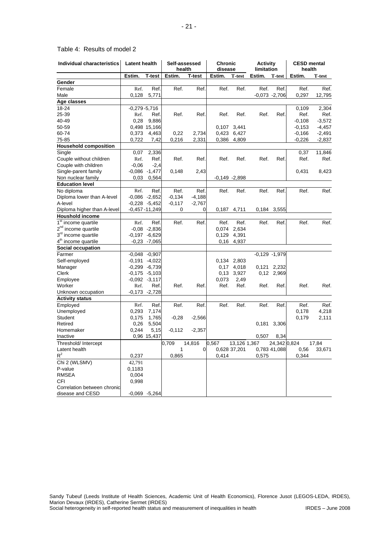| <b>Individual characteristics</b> | Latent health |                   | Self-assessed<br>health |                | <b>Chronic</b><br>disease |                 | <b>Activity</b><br>limitation |                  | <b>CESD mental</b><br>health |          |
|-----------------------------------|---------------|-------------------|-------------------------|----------------|---------------------------|-----------------|-------------------------------|------------------|------------------------------|----------|
|                                   | Estim.        | T-test            | Estim.                  | T-test         | Estim.                    | <b>T</b> -test  | Estim.                        | <b>T-test</b>    | Estim.                       | T-test   |
| Gender                            |               |                   |                         |                |                           |                 |                               |                  |                              |          |
| Female                            | Ref.          | Ref.              | Ref.                    | Ref.           | Ref.                      | Ref.            | Ref.                          | Ref.             | Ref.                         | Ref.     |
| Male                              | 0,128         | 5.771             |                         |                |                           |                 |                               | $-0.073 - 2.706$ | 0,297                        | 12,795   |
| Age classes                       |               |                   |                         |                |                           |                 |                               |                  |                              |          |
| 18-24                             |               | $-0.279 - 5.716$  |                         |                |                           |                 |                               |                  | 0,109                        | 2,304    |
| 25-39                             | Ref.          | Ref.              | Ref.                    | Ref.           | Ref.                      | Ref.            | Ref.                          | Ref.             | Ref.                         | Ref.     |
| 40-49                             | 0,28          | 9,886             |                         |                |                           |                 |                               |                  | $-0,108$                     | $-3,572$ |
| 50-59                             |               | 0,498 15,166      |                         |                |                           | 0,107 3,441     |                               |                  | $-0,153$                     | $-4,457$ |
| 60-74                             | 0,373         | 4,463             | 0,22                    | 2,734          |                           | 0,423 6,427     |                               |                  | $-0,166$                     | $-2,491$ |
| 75-85                             | 0,722         | 7,42              | 0,216                   | 2,331          |                           | 0,386 4,809     |                               |                  | $-0,226$                     | $-2,837$ |
| <b>Household composition</b>      |               |                   |                         |                |                           |                 |                               |                  |                              |          |
| Single                            | 0,07          | 2,336             |                         |                |                           |                 |                               |                  | 0,37                         | 11,846   |
| Couple without children           | Ref.          | Ref.              | Ref.                    | Ref.           | Ref.                      | Ref.            | Ref.                          | Ref.             | Ref.                         | Ref.     |
| Couple with children              | $-0,06$       | $-2,4$            |                         |                |                           |                 |                               |                  |                              |          |
| Single-parent family              |               | $-0,086 -1,477$   | 0,148                   | 2,43           |                           |                 |                               |                  | 0,431                        | 8,423    |
| Non nuclear family                | 0,03          | 0,564             |                         |                |                           | $-0,149 -2,898$ |                               |                  |                              |          |
| <b>Education level</b>            |               |                   |                         |                |                           |                 |                               |                  |                              |          |
| No diploma                        | Ref.          | Ref.              | Ref.                    | Ref.           | Ref.                      | Ref.            | Ref.                          | Ref.             | Ref.                         | Ref.     |
| Diploma lower than A-level        |               | $-0,086 -2,652$   | $-0,134$                | -4,188         |                           |                 |                               |                  |                              |          |
| A-level                           |               | $-0,228 -5,452$   | $-0,117$                | $-2,767$       |                           |                 |                               |                  |                              |          |
| Diploma higher than A-level       |               | $-0,457 - 11,249$ | 0                       | 0              |                           | 0,187 4,711     |                               | 0,184 3,555      |                              |          |
| <b>Houshold income</b>            |               |                   |                         |                |                           |                 |                               |                  |                              |          |
| 1 <sup>st</sup> income quartile   | Ref.          | Ref.              | Ref.                    | Ref.           | Ref.                      | Ref.            | Ref.                          | Ref.             | Ref.                         | Ref.     |
| 2 <sup>nd</sup> income quartile   |               | $-0.08 - 2.836$   |                         |                |                           | 0,074 2,634     |                               |                  |                              |          |
| 3 <sup>rd</sup> income quartile   |               | $-0.197 - 6.629$  |                         |                |                           | 0,129 4,391     |                               |                  |                              |          |
| 4 <sup>th</sup> income quartile   |               | $-0,23$ $-7,065$  |                         |                |                           | 0,16 4,937      |                               |                  |                              |          |
| Social occupation                 |               |                   |                         |                |                           |                 |                               |                  |                              |          |
| Farmer                            |               | $-0,048 -0,907$   |                         |                |                           |                 |                               | $-0,129 -1,979$  |                              |          |
| Self-employed                     |               | $-0,191 - 4,022$  |                         |                |                           | 0,134 2,803     |                               |                  |                              |          |
| Manager                           |               | $-0,299 -6,739$   |                         |                |                           | 0,17 4,018      |                               | 0,121 2,232      |                              |          |
| Clerk                             |               | $-0,175$ $-5,103$ |                         |                | 0,13                      | 3,927           |                               | 0,12 2,969       |                              |          |
| Employee                          |               | $-0,092 -3,117$   |                         |                | 0,073                     | 2,49            |                               |                  |                              |          |
| Worker                            | Ref.          | Ref.              | Ref.                    | Ref.           | Ref.                      | Ref.            | Ref.                          | Ref.             | Ref.                         | Ref.     |
| Unknown occupation                |               | $-0,173 -2,728$   |                         |                |                           |                 |                               |                  |                              |          |
| <b>Activity status</b>            |               |                   |                         |                |                           |                 |                               |                  |                              |          |
| Employed                          | Ref.          | Ref.              | Ref.                    | Ref.           | Ref.                      | Ref.            | Ref.                          | Ref.             | Ref.                         | Ref.     |
| Unemployed                        | 0,293         | 7,174             |                         |                |                           |                 |                               |                  | 0,178                        | 4,218    |
| Student                           | 0,175         | 1,765             | $-0,28$                 | $-2,566$       |                           |                 |                               |                  | 0,179                        | 2,111    |
| Retired                           | 0,26          | 5,504             |                         |                |                           |                 | 0,181                         | 3,306            |                              |          |
| Homemaker                         | 0,244         | 5,15              | $-0,112$                | $-2,357$       |                           |                 |                               |                  |                              |          |
| Inactive                          |               | 0,96 15,437       |                         |                |                           |                 | 0,507                         | 8,34             |                              |          |
| Threshold/ Intercept              |               |                   | 0,709                   | 14.816         | 0,567                     | 13,126 1,367    |                               | 24,342 0.824     |                              | 17,84    |
| Latent health                     |               |                   | 1                       | $\overline{0}$ |                           | 0,628 37,201    |                               | 0,783 41,088     | 0,56                         | 33,671   |
| $R^2$                             | 0,237         |                   | 0,865                   |                | 0,414                     |                 | 0,575                         |                  | 0,344                        |          |
| Chi 2 (WLSMV)                     | 42,791        |                   |                         |                |                           |                 |                               |                  |                              |          |
| P-value                           | 0,1183        |                   |                         |                |                           |                 |                               |                  |                              |          |
| <b>RMSEA</b>                      | 0,004         |                   |                         |                |                           |                 |                               |                  |                              |          |
| <b>CFI</b>                        | 0,998         |                   |                         |                |                           |                 |                               |                  |                              |          |
| Correlation between chronic       |               |                   |                         |                |                           |                 |                               |                  |                              |          |
| disease and CESD                  |               | $-0.069 - 5.264$  |                         |                |                           |                 |                               |                  |                              |          |

## Table 4: Results of model 2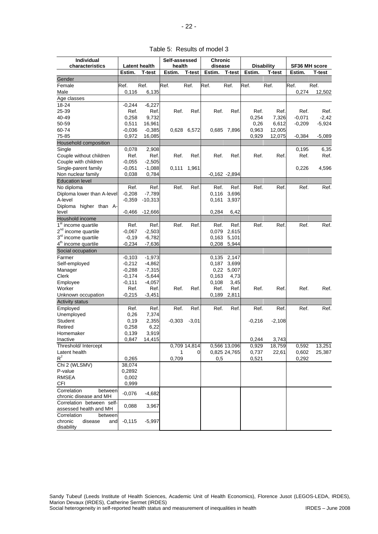| Table 5: Results of model 3 |  |  |  |
|-----------------------------|--|--|--|
|-----------------------------|--|--|--|

| health<br><b>Disability</b><br>Latent health<br>disease<br>SF36 MH score<br><b>T-test</b><br>Estim.<br>Estim.<br>Estim.<br>T-test<br>Estim.<br>T-test<br>T-test<br>Estim.<br>T-test<br>Gender<br>Ref.<br>Ref.<br>Ref.<br>Female<br>Ref.<br>Ref.<br>Ref.<br>Ref.<br>Ref.<br>Ref.<br>Ref.<br>Male<br>0,116<br>6,135<br>0,274<br>12,502<br>Age classes<br>18-24<br>$-0,244$<br>$-6,227$<br>25-39<br>Ref.<br>Ref.<br>Ref.<br>Ref.<br>Ref.<br>Ref.<br>Ref.<br>Ref.<br>Ref.<br>Ref.<br>40-49<br>9,732<br>$-0,071$<br>$-2,42$<br>0,258<br>0,254<br>7,326<br>50-59<br>0,511<br>16,961<br>$-0,209$<br>$-5,924$<br>0,26<br>6,612<br>60-74<br>$-0.385$<br>$-0,036$<br>0,628 6,572<br>0,685 7,896<br>0,963<br>12,005<br>75-85<br>0,972<br>16,085<br>0,929<br>$-5,089$<br>12,075<br>$-0,384$<br>Household composition<br>Single<br>2,908<br>0,195<br>6,35<br>0,078<br>Couple without children<br>Ref.<br>Ref.<br>Ref.<br>Ref.<br>Ref.<br>Ref.<br>Ref.<br>Ref.<br>Ref.<br>Ref.<br>Couple with children<br>$-0,055$<br>$-2,505$<br>Single-parent family<br>$-0,051$<br>$-1,088$<br>0,111<br>0,226<br>4,596<br>1,961<br>Non nuclear family<br>0,038<br>0,784<br>$-0,162 -2,894$<br><b>Education level</b><br>No diploma<br>Ref.<br>Ref.<br>Ref.<br>Ref.<br>Ref.<br>Ref.<br>Ref.<br>Ref.<br>Ref.<br>Ref.<br>Diploma lower than A-level<br>$-0,208$<br>$-7,789$<br>0,116<br>3,696<br>A-level<br>$-0,359$<br>$-10,313$<br>0,161<br>3,937<br>Diploma higher than A-<br>$-12,666$<br>0,284<br>6,42<br>level<br>$-0,466$<br>Houshold income<br>1 <sup>st</sup> income quartile<br>Ref.<br>Ref.<br>Ref.<br>Ref.<br>Ref.<br>Ref.<br>Ref.<br>Ref.<br>Ref.<br>Ref.<br>2 <sup>nd</sup> income quartile<br>2,615<br>$-0.067$<br>$-2,503$<br>0,079<br>3 <sup>rd</sup> income quartile<br>$-6,782$<br>0,163<br>-0,19<br>5,101<br>4 <sup>th</sup> income quartile<br>$-0,234$<br>$-7,636$<br>0,208<br>5,944<br>Social occupation<br>$-1,973$<br>2,147<br>Farmer<br>$-0,103$<br>0,135<br>Self-employed<br>$-0,212$<br>$-4,862$<br>0,187<br>3,699<br>$-0,288$<br>$-7,315$<br>0,22<br>5,007<br>Manager<br>Clerk<br>$-0,174$<br>$-5,644$<br>0,163<br>4,73<br>Employee<br>$-0,111$<br>$-4,057$<br>0,108<br>3,45 | Individual<br>characteristics |  |
|-----------------------------------------------------------------------------------------------------------------------------------------------------------------------------------------------------------------------------------------------------------------------------------------------------------------------------------------------------------------------------------------------------------------------------------------------------------------------------------------------------------------------------------------------------------------------------------------------------------------------------------------------------------------------------------------------------------------------------------------------------------------------------------------------------------------------------------------------------------------------------------------------------------------------------------------------------------------------------------------------------------------------------------------------------------------------------------------------------------------------------------------------------------------------------------------------------------------------------------------------------------------------------------------------------------------------------------------------------------------------------------------------------------------------------------------------------------------------------------------------------------------------------------------------------------------------------------------------------------------------------------------------------------------------------------------------------------------------------------------------------------------------------------------------------------------------------------------------------------------------------------------------------------------------------------------------------------------------------------------------------------------------------------------------------------------------------------------------------------------------------------------------------------------------------|-------------------------------|--|
|                                                                                                                                                                                                                                                                                                                                                                                                                                                                                                                                                                                                                                                                                                                                                                                                                                                                                                                                                                                                                                                                                                                                                                                                                                                                                                                                                                                                                                                                                                                                                                                                                                                                                                                                                                                                                                                                                                                                                                                                                                                                                                                                                                             |                               |  |
|                                                                                                                                                                                                                                                                                                                                                                                                                                                                                                                                                                                                                                                                                                                                                                                                                                                                                                                                                                                                                                                                                                                                                                                                                                                                                                                                                                                                                                                                                                                                                                                                                                                                                                                                                                                                                                                                                                                                                                                                                                                                                                                                                                             |                               |  |
|                                                                                                                                                                                                                                                                                                                                                                                                                                                                                                                                                                                                                                                                                                                                                                                                                                                                                                                                                                                                                                                                                                                                                                                                                                                                                                                                                                                                                                                                                                                                                                                                                                                                                                                                                                                                                                                                                                                                                                                                                                                                                                                                                                             |                               |  |
|                                                                                                                                                                                                                                                                                                                                                                                                                                                                                                                                                                                                                                                                                                                                                                                                                                                                                                                                                                                                                                                                                                                                                                                                                                                                                                                                                                                                                                                                                                                                                                                                                                                                                                                                                                                                                                                                                                                                                                                                                                                                                                                                                                             |                               |  |
|                                                                                                                                                                                                                                                                                                                                                                                                                                                                                                                                                                                                                                                                                                                                                                                                                                                                                                                                                                                                                                                                                                                                                                                                                                                                                                                                                                                                                                                                                                                                                                                                                                                                                                                                                                                                                                                                                                                                                                                                                                                                                                                                                                             |                               |  |
|                                                                                                                                                                                                                                                                                                                                                                                                                                                                                                                                                                                                                                                                                                                                                                                                                                                                                                                                                                                                                                                                                                                                                                                                                                                                                                                                                                                                                                                                                                                                                                                                                                                                                                                                                                                                                                                                                                                                                                                                                                                                                                                                                                             |                               |  |
|                                                                                                                                                                                                                                                                                                                                                                                                                                                                                                                                                                                                                                                                                                                                                                                                                                                                                                                                                                                                                                                                                                                                                                                                                                                                                                                                                                                                                                                                                                                                                                                                                                                                                                                                                                                                                                                                                                                                                                                                                                                                                                                                                                             |                               |  |
|                                                                                                                                                                                                                                                                                                                                                                                                                                                                                                                                                                                                                                                                                                                                                                                                                                                                                                                                                                                                                                                                                                                                                                                                                                                                                                                                                                                                                                                                                                                                                                                                                                                                                                                                                                                                                                                                                                                                                                                                                                                                                                                                                                             |                               |  |
|                                                                                                                                                                                                                                                                                                                                                                                                                                                                                                                                                                                                                                                                                                                                                                                                                                                                                                                                                                                                                                                                                                                                                                                                                                                                                                                                                                                                                                                                                                                                                                                                                                                                                                                                                                                                                                                                                                                                                                                                                                                                                                                                                                             |                               |  |
|                                                                                                                                                                                                                                                                                                                                                                                                                                                                                                                                                                                                                                                                                                                                                                                                                                                                                                                                                                                                                                                                                                                                                                                                                                                                                                                                                                                                                                                                                                                                                                                                                                                                                                                                                                                                                                                                                                                                                                                                                                                                                                                                                                             |                               |  |
|                                                                                                                                                                                                                                                                                                                                                                                                                                                                                                                                                                                                                                                                                                                                                                                                                                                                                                                                                                                                                                                                                                                                                                                                                                                                                                                                                                                                                                                                                                                                                                                                                                                                                                                                                                                                                                                                                                                                                                                                                                                                                                                                                                             |                               |  |
|                                                                                                                                                                                                                                                                                                                                                                                                                                                                                                                                                                                                                                                                                                                                                                                                                                                                                                                                                                                                                                                                                                                                                                                                                                                                                                                                                                                                                                                                                                                                                                                                                                                                                                                                                                                                                                                                                                                                                                                                                                                                                                                                                                             |                               |  |
|                                                                                                                                                                                                                                                                                                                                                                                                                                                                                                                                                                                                                                                                                                                                                                                                                                                                                                                                                                                                                                                                                                                                                                                                                                                                                                                                                                                                                                                                                                                                                                                                                                                                                                                                                                                                                                                                                                                                                                                                                                                                                                                                                                             |                               |  |
|                                                                                                                                                                                                                                                                                                                                                                                                                                                                                                                                                                                                                                                                                                                                                                                                                                                                                                                                                                                                                                                                                                                                                                                                                                                                                                                                                                                                                                                                                                                                                                                                                                                                                                                                                                                                                                                                                                                                                                                                                                                                                                                                                                             |                               |  |
|                                                                                                                                                                                                                                                                                                                                                                                                                                                                                                                                                                                                                                                                                                                                                                                                                                                                                                                                                                                                                                                                                                                                                                                                                                                                                                                                                                                                                                                                                                                                                                                                                                                                                                                                                                                                                                                                                                                                                                                                                                                                                                                                                                             |                               |  |
|                                                                                                                                                                                                                                                                                                                                                                                                                                                                                                                                                                                                                                                                                                                                                                                                                                                                                                                                                                                                                                                                                                                                                                                                                                                                                                                                                                                                                                                                                                                                                                                                                                                                                                                                                                                                                                                                                                                                                                                                                                                                                                                                                                             |                               |  |
|                                                                                                                                                                                                                                                                                                                                                                                                                                                                                                                                                                                                                                                                                                                                                                                                                                                                                                                                                                                                                                                                                                                                                                                                                                                                                                                                                                                                                                                                                                                                                                                                                                                                                                                                                                                                                                                                                                                                                                                                                                                                                                                                                                             |                               |  |
|                                                                                                                                                                                                                                                                                                                                                                                                                                                                                                                                                                                                                                                                                                                                                                                                                                                                                                                                                                                                                                                                                                                                                                                                                                                                                                                                                                                                                                                                                                                                                                                                                                                                                                                                                                                                                                                                                                                                                                                                                                                                                                                                                                             |                               |  |
|                                                                                                                                                                                                                                                                                                                                                                                                                                                                                                                                                                                                                                                                                                                                                                                                                                                                                                                                                                                                                                                                                                                                                                                                                                                                                                                                                                                                                                                                                                                                                                                                                                                                                                                                                                                                                                                                                                                                                                                                                                                                                                                                                                             |                               |  |
|                                                                                                                                                                                                                                                                                                                                                                                                                                                                                                                                                                                                                                                                                                                                                                                                                                                                                                                                                                                                                                                                                                                                                                                                                                                                                                                                                                                                                                                                                                                                                                                                                                                                                                                                                                                                                                                                                                                                                                                                                                                                                                                                                                             |                               |  |
|                                                                                                                                                                                                                                                                                                                                                                                                                                                                                                                                                                                                                                                                                                                                                                                                                                                                                                                                                                                                                                                                                                                                                                                                                                                                                                                                                                                                                                                                                                                                                                                                                                                                                                                                                                                                                                                                                                                                                                                                                                                                                                                                                                             |                               |  |
|                                                                                                                                                                                                                                                                                                                                                                                                                                                                                                                                                                                                                                                                                                                                                                                                                                                                                                                                                                                                                                                                                                                                                                                                                                                                                                                                                                                                                                                                                                                                                                                                                                                                                                                                                                                                                                                                                                                                                                                                                                                                                                                                                                             |                               |  |
|                                                                                                                                                                                                                                                                                                                                                                                                                                                                                                                                                                                                                                                                                                                                                                                                                                                                                                                                                                                                                                                                                                                                                                                                                                                                                                                                                                                                                                                                                                                                                                                                                                                                                                                                                                                                                                                                                                                                                                                                                                                                                                                                                                             |                               |  |
|                                                                                                                                                                                                                                                                                                                                                                                                                                                                                                                                                                                                                                                                                                                                                                                                                                                                                                                                                                                                                                                                                                                                                                                                                                                                                                                                                                                                                                                                                                                                                                                                                                                                                                                                                                                                                                                                                                                                                                                                                                                                                                                                                                             |                               |  |
|                                                                                                                                                                                                                                                                                                                                                                                                                                                                                                                                                                                                                                                                                                                                                                                                                                                                                                                                                                                                                                                                                                                                                                                                                                                                                                                                                                                                                                                                                                                                                                                                                                                                                                                                                                                                                                                                                                                                                                                                                                                                                                                                                                             |                               |  |
|                                                                                                                                                                                                                                                                                                                                                                                                                                                                                                                                                                                                                                                                                                                                                                                                                                                                                                                                                                                                                                                                                                                                                                                                                                                                                                                                                                                                                                                                                                                                                                                                                                                                                                                                                                                                                                                                                                                                                                                                                                                                                                                                                                             |                               |  |
|                                                                                                                                                                                                                                                                                                                                                                                                                                                                                                                                                                                                                                                                                                                                                                                                                                                                                                                                                                                                                                                                                                                                                                                                                                                                                                                                                                                                                                                                                                                                                                                                                                                                                                                                                                                                                                                                                                                                                                                                                                                                                                                                                                             |                               |  |
|                                                                                                                                                                                                                                                                                                                                                                                                                                                                                                                                                                                                                                                                                                                                                                                                                                                                                                                                                                                                                                                                                                                                                                                                                                                                                                                                                                                                                                                                                                                                                                                                                                                                                                                                                                                                                                                                                                                                                                                                                                                                                                                                                                             |                               |  |
|                                                                                                                                                                                                                                                                                                                                                                                                                                                                                                                                                                                                                                                                                                                                                                                                                                                                                                                                                                                                                                                                                                                                                                                                                                                                                                                                                                                                                                                                                                                                                                                                                                                                                                                                                                                                                                                                                                                                                                                                                                                                                                                                                                             |                               |  |
|                                                                                                                                                                                                                                                                                                                                                                                                                                                                                                                                                                                                                                                                                                                                                                                                                                                                                                                                                                                                                                                                                                                                                                                                                                                                                                                                                                                                                                                                                                                                                                                                                                                                                                                                                                                                                                                                                                                                                                                                                                                                                                                                                                             |                               |  |
|                                                                                                                                                                                                                                                                                                                                                                                                                                                                                                                                                                                                                                                                                                                                                                                                                                                                                                                                                                                                                                                                                                                                                                                                                                                                                                                                                                                                                                                                                                                                                                                                                                                                                                                                                                                                                                                                                                                                                                                                                                                                                                                                                                             |                               |  |
|                                                                                                                                                                                                                                                                                                                                                                                                                                                                                                                                                                                                                                                                                                                                                                                                                                                                                                                                                                                                                                                                                                                                                                                                                                                                                                                                                                                                                                                                                                                                                                                                                                                                                                                                                                                                                                                                                                                                                                                                                                                                                                                                                                             |                               |  |
|                                                                                                                                                                                                                                                                                                                                                                                                                                                                                                                                                                                                                                                                                                                                                                                                                                                                                                                                                                                                                                                                                                                                                                                                                                                                                                                                                                                                                                                                                                                                                                                                                                                                                                                                                                                                                                                                                                                                                                                                                                                                                                                                                                             |                               |  |
|                                                                                                                                                                                                                                                                                                                                                                                                                                                                                                                                                                                                                                                                                                                                                                                                                                                                                                                                                                                                                                                                                                                                                                                                                                                                                                                                                                                                                                                                                                                                                                                                                                                                                                                                                                                                                                                                                                                                                                                                                                                                                                                                                                             |                               |  |
|                                                                                                                                                                                                                                                                                                                                                                                                                                                                                                                                                                                                                                                                                                                                                                                                                                                                                                                                                                                                                                                                                                                                                                                                                                                                                                                                                                                                                                                                                                                                                                                                                                                                                                                                                                                                                                                                                                                                                                                                                                                                                                                                                                             |                               |  |
| Worker<br>Ref.<br>Ref.<br>Ref.<br>Ref.<br>Ref.<br>Ref.<br>Ref.<br>Ref.<br>Ref.<br>Ref.                                                                                                                                                                                                                                                                                                                                                                                                                                                                                                                                                                                                                                                                                                                                                                                                                                                                                                                                                                                                                                                                                                                                                                                                                                                                                                                                                                                                                                                                                                                                                                                                                                                                                                                                                                                                                                                                                                                                                                                                                                                                                      |                               |  |
| Unknown occupation<br>$-0,215$<br>$-3,451$<br>0,189<br>2,811                                                                                                                                                                                                                                                                                                                                                                                                                                                                                                                                                                                                                                                                                                                                                                                                                                                                                                                                                                                                                                                                                                                                                                                                                                                                                                                                                                                                                                                                                                                                                                                                                                                                                                                                                                                                                                                                                                                                                                                                                                                                                                                |                               |  |
| <b>Activity status</b>                                                                                                                                                                                                                                                                                                                                                                                                                                                                                                                                                                                                                                                                                                                                                                                                                                                                                                                                                                                                                                                                                                                                                                                                                                                                                                                                                                                                                                                                                                                                                                                                                                                                                                                                                                                                                                                                                                                                                                                                                                                                                                                                                      |                               |  |
| Ref.<br>Ref.<br>Ref.<br>Ref.<br>Ref.<br>Employed<br>Ref.<br>Ref.<br>Ref.<br>Ref.<br>Ref.                                                                                                                                                                                                                                                                                                                                                                                                                                                                                                                                                                                                                                                                                                                                                                                                                                                                                                                                                                                                                                                                                                                                                                                                                                                                                                                                                                                                                                                                                                                                                                                                                                                                                                                                                                                                                                                                                                                                                                                                                                                                                    |                               |  |
| Unemployed<br>0,26<br>7,374                                                                                                                                                                                                                                                                                                                                                                                                                                                                                                                                                                                                                                                                                                                                                                                                                                                                                                                                                                                                                                                                                                                                                                                                                                                                                                                                                                                                                                                                                                                                                                                                                                                                                                                                                                                                                                                                                                                                                                                                                                                                                                                                                 |                               |  |
| Student<br>0,19<br>2,355<br>$-0,303$<br>$-3,01$<br>$-0,216$<br>$-2,108$                                                                                                                                                                                                                                                                                                                                                                                                                                                                                                                                                                                                                                                                                                                                                                                                                                                                                                                                                                                                                                                                                                                                                                                                                                                                                                                                                                                                                                                                                                                                                                                                                                                                                                                                                                                                                                                                                                                                                                                                                                                                                                     |                               |  |
| Retired<br>0,258<br>6,22                                                                                                                                                                                                                                                                                                                                                                                                                                                                                                                                                                                                                                                                                                                                                                                                                                                                                                                                                                                                                                                                                                                                                                                                                                                                                                                                                                                                                                                                                                                                                                                                                                                                                                                                                                                                                                                                                                                                                                                                                                                                                                                                                    |                               |  |
| 3,919<br>Homemaker<br>0,139                                                                                                                                                                                                                                                                                                                                                                                                                                                                                                                                                                                                                                                                                                                                                                                                                                                                                                                                                                                                                                                                                                                                                                                                                                                                                                                                                                                                                                                                                                                                                                                                                                                                                                                                                                                                                                                                                                                                                                                                                                                                                                                                                 |                               |  |
| 0,244<br>Inactive<br>0,847<br>14,415<br>3,743                                                                                                                                                                                                                                                                                                                                                                                                                                                                                                                                                                                                                                                                                                                                                                                                                                                                                                                                                                                                                                                                                                                                                                                                                                                                                                                                                                                                                                                                                                                                                                                                                                                                                                                                                                                                                                                                                                                                                                                                                                                                                                                               |                               |  |
| 13,251<br>Threshold/ Intercept<br>0,709 14,814<br>0,566 13,096<br>0,929<br>18,759<br>0,592                                                                                                                                                                                                                                                                                                                                                                                                                                                                                                                                                                                                                                                                                                                                                                                                                                                                                                                                                                                                                                                                                                                                                                                                                                                                                                                                                                                                                                                                                                                                                                                                                                                                                                                                                                                                                                                                                                                                                                                                                                                                                  |                               |  |
| 0,737<br>Latent health<br>0,825 24,765<br>22,61<br>0,602<br>25,387                                                                                                                                                                                                                                                                                                                                                                                                                                                                                                                                                                                                                                                                                                                                                                                                                                                                                                                                                                                                                                                                                                                                                                                                                                                                                                                                                                                                                                                                                                                                                                                                                                                                                                                                                                                                                                                                                                                                                                                                                                                                                                          |                               |  |
| $R^2$<br>0,709<br>0,265<br>0,5<br>0,521<br>0,292                                                                                                                                                                                                                                                                                                                                                                                                                                                                                                                                                                                                                                                                                                                                                                                                                                                                                                                                                                                                                                                                                                                                                                                                                                                                                                                                                                                                                                                                                                                                                                                                                                                                                                                                                                                                                                                                                                                                                                                                                                                                                                                            |                               |  |
| Chi 2 (WLSMV)<br>38,074                                                                                                                                                                                                                                                                                                                                                                                                                                                                                                                                                                                                                                                                                                                                                                                                                                                                                                                                                                                                                                                                                                                                                                                                                                                                                                                                                                                                                                                                                                                                                                                                                                                                                                                                                                                                                                                                                                                                                                                                                                                                                                                                                     |                               |  |
| P-value<br>0,2892                                                                                                                                                                                                                                                                                                                                                                                                                                                                                                                                                                                                                                                                                                                                                                                                                                                                                                                                                                                                                                                                                                                                                                                                                                                                                                                                                                                                                                                                                                                                                                                                                                                                                                                                                                                                                                                                                                                                                                                                                                                                                                                                                           |                               |  |
| <b>RMSEA</b><br>0,002                                                                                                                                                                                                                                                                                                                                                                                                                                                                                                                                                                                                                                                                                                                                                                                                                                                                                                                                                                                                                                                                                                                                                                                                                                                                                                                                                                                                                                                                                                                                                                                                                                                                                                                                                                                                                                                                                                                                                                                                                                                                                                                                                       |                               |  |
| <b>CFI</b><br>0,999                                                                                                                                                                                                                                                                                                                                                                                                                                                                                                                                                                                                                                                                                                                                                                                                                                                                                                                                                                                                                                                                                                                                                                                                                                                                                                                                                                                                                                                                                                                                                                                                                                                                                                                                                                                                                                                                                                                                                                                                                                                                                                                                                         |                               |  |
| Correlation<br>between<br>$-0,076$<br>$-4,682$                                                                                                                                                                                                                                                                                                                                                                                                                                                                                                                                                                                                                                                                                                                                                                                                                                                                                                                                                                                                                                                                                                                                                                                                                                                                                                                                                                                                                                                                                                                                                                                                                                                                                                                                                                                                                                                                                                                                                                                                                                                                                                                              |                               |  |
| chronic disease and MH                                                                                                                                                                                                                                                                                                                                                                                                                                                                                                                                                                                                                                                                                                                                                                                                                                                                                                                                                                                                                                                                                                                                                                                                                                                                                                                                                                                                                                                                                                                                                                                                                                                                                                                                                                                                                                                                                                                                                                                                                                                                                                                                                      |                               |  |
| Correlation between self-<br>0,088<br>3,967                                                                                                                                                                                                                                                                                                                                                                                                                                                                                                                                                                                                                                                                                                                                                                                                                                                                                                                                                                                                                                                                                                                                                                                                                                                                                                                                                                                                                                                                                                                                                                                                                                                                                                                                                                                                                                                                                                                                                                                                                                                                                                                                 |                               |  |
| assessed health and MH                                                                                                                                                                                                                                                                                                                                                                                                                                                                                                                                                                                                                                                                                                                                                                                                                                                                                                                                                                                                                                                                                                                                                                                                                                                                                                                                                                                                                                                                                                                                                                                                                                                                                                                                                                                                                                                                                                                                                                                                                                                                                                                                                      |                               |  |
| Correlation<br>between<br>chronic<br>disease<br>$-5,997$                                                                                                                                                                                                                                                                                                                                                                                                                                                                                                                                                                                                                                                                                                                                                                                                                                                                                                                                                                                                                                                                                                                                                                                                                                                                                                                                                                                                                                                                                                                                                                                                                                                                                                                                                                                                                                                                                                                                                                                                                                                                                                                    |                               |  |
| $-0,115$<br>and<br>disability                                                                                                                                                                                                                                                                                                                                                                                                                                                                                                                                                                                                                                                                                                                                                                                                                                                                                                                                                                                                                                                                                                                                                                                                                                                                                                                                                                                                                                                                                                                                                                                                                                                                                                                                                                                                                                                                                                                                                                                                                                                                                                                                               |                               |  |

Sandy Tubeuf (Leeds Institute of Health Sciences, Academic Unit of Health Economics), Florence Jusot (LEGOS-LEDA, IRDES), Marion Devaux (IRDES), Catherine Sermet (IRDES) Social heterogeneity in self-reported health status and measurement of inequalities in health IRDES – June 2008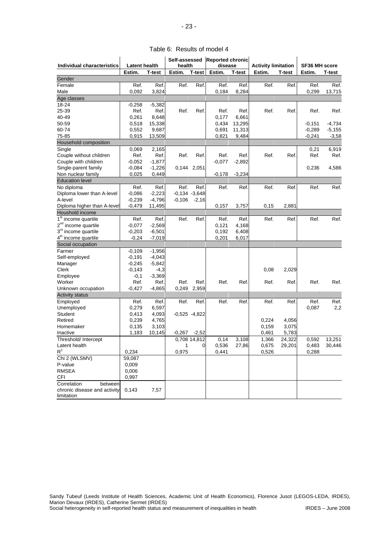|  |  | Table 6: Results of model 4 |
|--|--|-----------------------------|
|--|--|-----------------------------|

| Individual characteristics      | <b>Latent health</b> |          | Self-assessed<br>health |                 | <b>Reported chronic</b><br>disease |               | <b>Activity limitation</b> |        | <b>SF36 MH score</b> |          |
|---------------------------------|----------------------|----------|-------------------------|-----------------|------------------------------------|---------------|----------------------------|--------|----------------------|----------|
|                                 | Estim.               | T-test   | Estim.                  | <b>T-test</b>   | Estim.                             | <b>T-test</b> | Estim.                     | T-test | Estim.               | T-test   |
| Gender                          |                      |          |                         |                 |                                    |               |                            |        |                      |          |
| Female                          | Ref.                 | Ref.     | Ref.                    | Ref.            | Ref.                               | Ref.          | Ref.                       | Ref.   | Ref.                 | Ref.     |
| Male                            | 0,092                | 3,824    |                         |                 | 0,184                              | 8.284         |                            |        | 0,299                | 13,715   |
| Age classes                     |                      |          |                         |                 |                                    |               |                            |        |                      |          |
| 18-24                           | -0,258               | $-5,382$ |                         |                 |                                    |               |                            |        |                      |          |
| 25-39                           | Ref.                 | Ref.     | Ref.                    | Ref.            | Ref.                               | Ref.          | Ref.                       | Ref.   | Ref.                 | Ref.     |
| 40-49                           | 0,261                | 8,648    |                         |                 | 0,177                              | 6,661         |                            |        |                      |          |
| 50-59                           | 0,518                | 15,338   |                         |                 | 0,434                              | 13,295        |                            |        | $-0,151$             | -4,734   |
| 60-74                           | 0,552                | 9,687    |                         |                 | 0,691                              | 11,313        |                            |        | $-0,289$             | $-5,155$ |
| 75-85                           | 0,915                | 13,509   |                         |                 | 0,821                              | 9,484         |                            |        | $-0,241$             | $-3,58$  |
| Household composition           |                      |          |                         |                 |                                    |               |                            |        |                      |          |
| Single                          | 0,069                | 2,165    |                         |                 |                                    |               |                            |        | 0,21                 | 6,919    |
| Couple without children         | Ref.                 | Ref.     | Ref.                    | Ref.            | Ref.                               | Ref.          | Ref.                       | Ref.   | Ref.                 | Ref.     |
| Couple with children            | $-0,052$             | $-1,877$ |                         |                 | $-0,077$                           | $-2,892$      |                            |        |                      |          |
| Single-parent family            | $-0,084$             | $-1,226$ |                         | 0,144 2,051     |                                    |               |                            |        | 0,236                | 4,586    |
| Non nuclear family              | 0,025                | 0,449    |                         |                 | $-0,178$                           | $-3,234$      |                            |        |                      |          |
| <b>Education level</b>          |                      |          |                         |                 |                                    |               |                            |        |                      |          |
| No diploma                      | Ref.                 | Ref.     | Ref.                    | Ref.            | Ref.                               | Ref.          | Ref.                       | Ref.   | Ref.                 | Ref.     |
| Diploma lower than A-level      | $-0,086$             | $-2,223$ |                         | $-0,134 -3,648$ |                                    |               |                            |        |                      |          |
| A-level                         | $-0,239$             | $-4,796$ | $-0,106$                | $-2,16$         |                                    |               |                            |        |                      |          |
| Diploma higher than A-level     | $-0,479$             | 11,495   |                         |                 | 0,157                              | 3,757         | 0,15                       | 2,881  |                      |          |
| Houshold income                 |                      |          |                         |                 |                                    |               |                            |        |                      |          |
| 1 <sup>st</sup> income quartile | Ref.                 | Ref.     | Ref.                    | Ref.            | Ref.                               | Ref.          | Ref.                       | Ref.   | Ref.                 | Ref.     |
| 2 <sup>nd</sup> income quartile | $-0,077$             | $-2,569$ |                         |                 | 0,121                              | 4,168         |                            |        |                      |          |
| 3 <sup>rd</sup> income quartile | $-0,203$             | $-6,501$ |                         |                 | 0,192                              | 6,408         |                            |        |                      |          |
| 4 <sup>th</sup> income quartile |                      | $-7,019$ |                         |                 |                                    |               |                            |        |                      |          |
|                                 | -0,24                |          |                         |                 | 0,201                              | 6,017         |                            |        |                      |          |
| Social occupation               |                      |          |                         |                 |                                    |               |                            |        |                      |          |
| Farmer                          | -0,109               | $-1,956$ |                         |                 |                                    |               |                            |        |                      |          |
| Self-employed                   | $-0,191$             | $-4,043$ |                         |                 |                                    |               |                            |        |                      |          |
| Manager                         | $-0,245$             | $-5,842$ |                         |                 |                                    |               |                            |        |                      |          |
| Clerk                           | $-0,143$             | $-4,3$   |                         |                 |                                    |               | 0,08                       | 2,029  |                      |          |
| Employee                        | $-0,1$               | $-3,369$ |                         |                 |                                    |               |                            |        |                      |          |
| Worker                          | Ref.                 | Ref.     | Ref.                    | Ref.            | Ref.                               | Ref.          | Ref.                       | Ref.   | Ref.                 | Ref.     |
| Unknown occupation              | -0,427               | $-4,865$ | 0,249                   | 2,959           |                                    |               |                            |        |                      |          |
| <b>Activity status</b>          |                      |          |                         |                 |                                    |               |                            |        |                      |          |
| Employed                        | Ref.                 | Ref.     | Ref.                    | Ref.            | Ref.                               | Ref.          | Ref.                       | Ref.   | Ref.                 | Ref.     |
| Unemployed                      | 0,279                | 6,597    |                         |                 |                                    |               |                            |        | 0,087                | 2,2      |
| Student                         | 0,413                | 4,093    |                         | $-0,525 -4,822$ |                                    |               |                            |        |                      |          |
| Retired                         | 0,239                | 4,765    |                         |                 |                                    |               | 0,224                      | 4,056  |                      |          |
| Homemaker                       | 0,135                | 3,103    |                         |                 |                                    |               | 0,159                      | 3,075  |                      |          |
| Inactive                        | 1,183                | 10,145   |                         | $-0,267 -2,52$  |                                    |               | 0,461                      | 5,783  |                      |          |
| Threshold/ Intercept            |                      |          |                         | 0,708 14,812    | 0,14                               | 3,108         | 1,366                      | 24,322 | 0,592                | 13,251   |
| Latent health                   |                      |          | 1                       | 0               | 0,536                              | 27,86         | 0,675                      | 29,201 | 0,483                | 30,446   |
| $R^2$                           | 0,234                |          | 0,975                   |                 | 0.441                              |               | 0,526                      |        | 0,288                |          |
| Chi 2 (WLSMV)                   | 59,087               |          |                         |                 |                                    |               |                            |        |                      |          |
| P-value                         | 0,009                |          |                         |                 |                                    |               |                            |        |                      |          |
| <b>RMSEA</b>                    | 0,006                |          |                         |                 |                                    |               |                            |        |                      |          |
| <b>CFI</b>                      | 0,997                |          |                         |                 |                                    |               |                            |        |                      |          |
| Correlation<br>between          |                      |          |                         |                 |                                    |               |                            |        |                      |          |
| chronic disease and activity    | 0,143                | 7,57     |                         |                 |                                    |               |                            |        |                      |          |
| limitation                      |                      |          |                         |                 |                                    |               |                            |        |                      |          |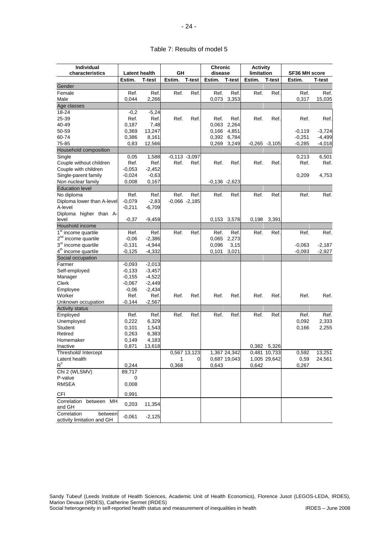## Table 7: Results of model 5

| Individual<br>characteristics                        | <b>Latent health</b> |          | GΗ     |                  | <b>Chronic</b><br>disease |                  | <b>Activity</b><br>limitation |                  | <b>SF36 MH score</b> |          |
|------------------------------------------------------|----------------------|----------|--------|------------------|---------------------------|------------------|-------------------------------|------------------|----------------------|----------|
|                                                      | Estim.               | T-test   | Estim. | <b>T-test</b>    | Estim.                    | <b>T-test</b>    | Estim.                        | <b>T-test</b>    | Estim.               | T-test   |
| Gender                                               |                      |          |        |                  |                           |                  |                               |                  |                      |          |
| Female                                               | Ref.                 | Ref.     | Ref.   | Ref.             | Ref.                      | Ref.             | Ref.                          | Ref.             | Ref.                 | Ref.     |
| Male                                                 | 0.044                | 2,266    |        |                  | 0,073                     | 3,353            |                               |                  | 0,317                | 15,035   |
| Age classes                                          |                      |          |        |                  |                           |                  |                               |                  |                      |          |
| 18-24                                                | $-0,2$               | $-5,24$  |        |                  |                           |                  |                               |                  |                      |          |
| 25-39                                                | Ref.                 | Ref.     | Ref.   | Ref.             | Ref.                      | Ref.             | Ref.                          | Ref.             | Ref.                 | Ref.     |
| 40-49                                                | 0,187                | 7,48     |        |                  | 0,063                     | 2,264            |                               |                  |                      |          |
| 50-59                                                | 0,369                | 13,247   |        |                  | 0,166                     | 4,851            |                               |                  | $-0,119$             | $-3,724$ |
| 60-74                                                | 0,386                | 8,161    |        |                  | 0,392                     | 6,784            |                               |                  | $-0,251$             | $-4,499$ |
| 75-85                                                | 0,83                 | 12,566   |        |                  | 0,269                     | 3,249            |                               | $-0.265 - 3.105$ | $-0,285$             | $-4,018$ |
| Household composition                                |                      |          |        |                  |                           |                  |                               |                  |                      |          |
|                                                      |                      |          |        |                  |                           |                  |                               |                  |                      |          |
| Single                                               | 0,05                 | 1,588    |        | $-0,113 -3,097$  |                           |                  |                               |                  | 0,213                | 6,501    |
| Couple without children                              | Ref.                 | Ref.     | Ref.   | Ref.             | Ref.                      | Ref.             | Ref.                          | Ref.             | Ref.                 | Ref.     |
| Couple with children                                 | $-0,053$             | $-2,452$ |        |                  |                           |                  |                               |                  |                      |          |
| Single-parent family                                 | $-0.024$             | $-0.63$  |        |                  |                           |                  |                               |                  | 0,209                | 4,753    |
| Non nuclear family                                   | 0,008                | 0,167    |        |                  |                           | $-0,136 - 2,623$ |                               |                  |                      |          |
| <b>Education level</b>                               |                      |          |        |                  |                           |                  |                               |                  |                      |          |
| No diploma                                           | Ref.                 | Ref.     | Ref.   | Ref.             | Ref.                      | Ref.             | Ref.                          | Ref.             | Ref.                 | Ref.     |
| Diploma lower than A-level                           | $-0.079$             | $-2,83$  |        | $-0.066 - 2.185$ |                           |                  |                               |                  |                      |          |
| A-level                                              | $-0,211$             | $-6,709$ |        |                  |                           |                  |                               |                  |                      |          |
| Diploma higher than A-                               |                      |          |        |                  |                           |                  |                               |                  |                      |          |
| level                                                | $-0,37$              | $-9,459$ |        |                  |                           | 0,153 3,578      | 0,198                         | 3,391            |                      |          |
| Houshold income                                      |                      |          |        |                  |                           |                  |                               |                  |                      |          |
| $1st$ income quartile                                | Ref.                 | Ref.     | Ref.   | Ref.             | Ref.                      | Ref.             | Ref.                          | Ref.             | Ref.                 | Ref.     |
| 2 <sup>nd</sup> income quartile                      | $-0,06$              | $-2,386$ |        |                  | 0,065                     | 2,273            |                               |                  |                      |          |
| 3 <sup>rd</sup> income quartile                      | $-0,131$             | $-4,944$ |        |                  | 0,096                     | 3,15             |                               |                  | $-0,063$             | $-2,187$ |
| 4 <sup>th</sup> income quartile                      | $-0,125$             | $-4,332$ |        |                  | 0,101                     | 3,021            |                               |                  | $-0,093$             | $-2,927$ |
| Social occupation                                    |                      |          |        |                  |                           |                  |                               |                  |                      |          |
| Farmer                                               | $-0,093$             | $-2,013$ |        |                  |                           |                  |                               |                  |                      |          |
| Self-employed                                        | $-0,133$             | $-3,457$ |        |                  |                           |                  |                               |                  |                      |          |
| Manager                                              | $-0,155$             | $-4,522$ |        |                  |                           |                  |                               |                  |                      |          |
| Clerk                                                | $-0.067$             | $-2,449$ |        |                  |                           |                  |                               |                  |                      |          |
| Employee                                             | $-0,06$              | $-2,434$ |        |                  |                           |                  |                               |                  |                      |          |
| Worker                                               | Ref.                 | Ref.     | Ref.   | Ref.             | Ref.                      | Ref.             | Ref.                          | Ref.             | Ref.                 | Ref.     |
| Unknown occupation                                   | $-0,144$             | $-2,567$ |        |                  |                           |                  |                               |                  |                      |          |
| <b>Activity status</b>                               |                      |          |        |                  |                           |                  |                               |                  |                      |          |
| Employed                                             | Ref.                 | Ref.     | Ref.   | Ref.             | Ref.                      | Ref.             | Ref.                          | Ref.             | Ref.                 | Ref.     |
| Unemployed                                           | 0,222                | 6,329    |        |                  |                           |                  |                               |                  | 0,092                | 2,333    |
| <b>Student</b>                                       | 0,101                | 1,543    |        |                  |                           |                  |                               |                  | 0,166                | 2,255    |
| Retired                                              | 0,263                | 6,383    |        |                  |                           |                  |                               |                  |                      |          |
| Homemaker                                            | 0,149                | 4,183    |        |                  |                           |                  |                               |                  |                      |          |
| Inactive                                             | 0,871                | 13,618   |        |                  |                           |                  |                               | 0,382 5,326      |                      |          |
| Threshold/ Intercept                                 |                      |          |        | 0,567 13,123     |                           | 1,367 24,342     |                               | 0,481 10,733     | 0,592                | 13,251   |
| Latent health                                        |                      |          | 1      | 0                |                           | 0,687 19,043     |                               | 1,005 29,642     | 0,59                 | 24,561   |
| $R^2$                                                | 0,244                |          | 0,368  |                  | 0,643                     |                  | 0,642                         |                  | 0,267                |          |
| Chi 2 (WLSMV)                                        | 89,717               |          |        |                  |                           |                  |                               |                  |                      |          |
| P-value                                              | 0                    |          |        |                  |                           |                  |                               |                  |                      |          |
| <b>RMSEA</b>                                         | 0,008                |          |        |                  |                           |                  |                               |                  |                      |          |
|                                                      |                      |          |        |                  |                           |                  |                               |                  |                      |          |
| CFI                                                  | 0,991                |          |        |                  |                           |                  |                               |                  |                      |          |
| Correlation between MH<br>and GH                     | 0,203                | 11,354   |        |                  |                           |                  |                               |                  |                      |          |
| between<br>Correlation<br>activity limitation and GH | $-0,061$             | $-2,125$ |        |                  |                           |                  |                               |                  |                      |          |